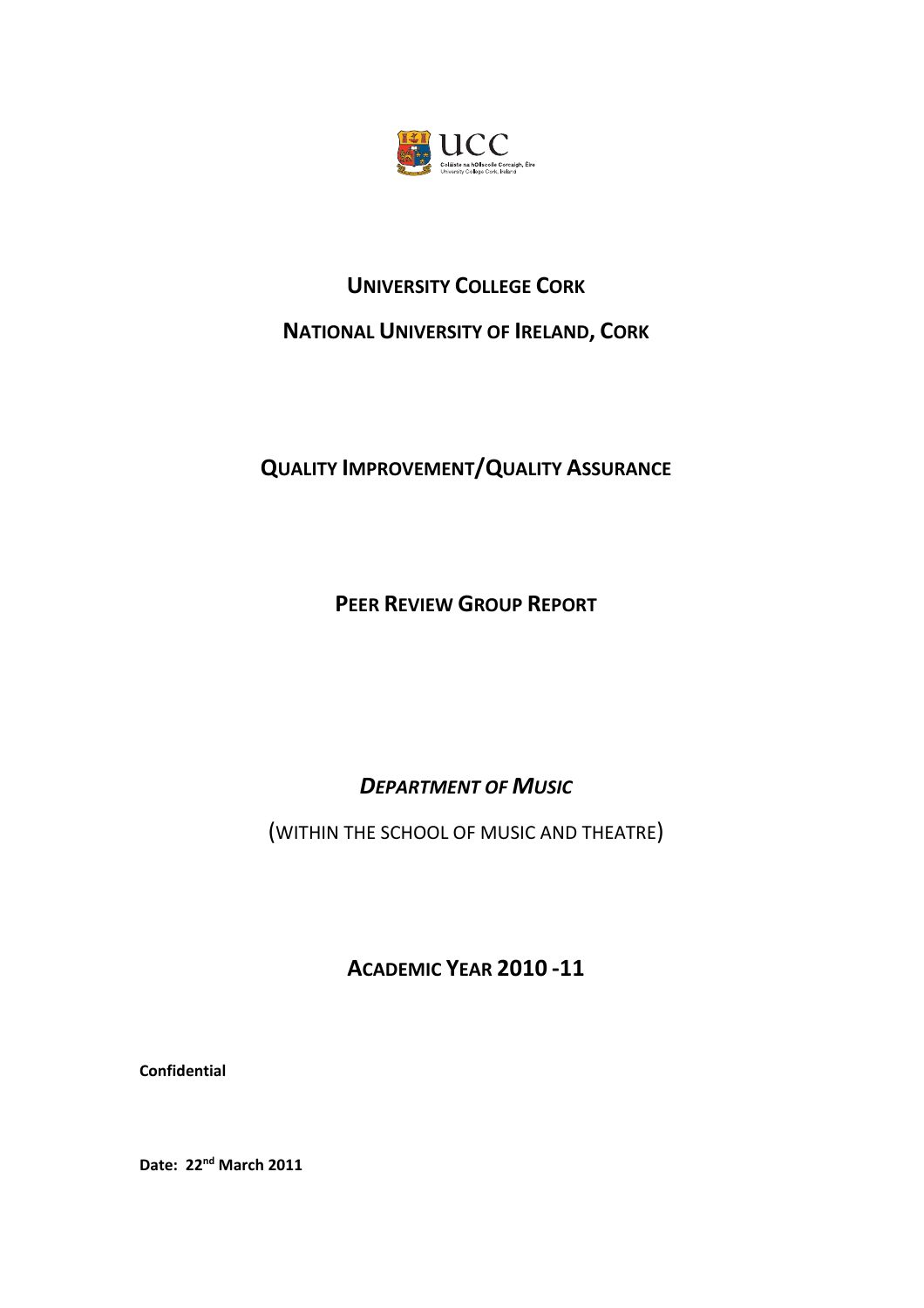

# **UNIVERSITY COLLEGE CORK NATIONAL UNIVERSITY OF IRELAND, CORK**

## **QUALITY IMPROVEMENT/QUALITY ASSURANCE**

**PEER REVIEW GROUP REPORT**

*DEPARTMENT OF MUSIC*

(WITHIN THE SCHOOL OF MUSIC AND THEATRE)

**ACADEMIC YEAR 2010 ‐11**

**Confidential**

**Date: 22nd March 2011**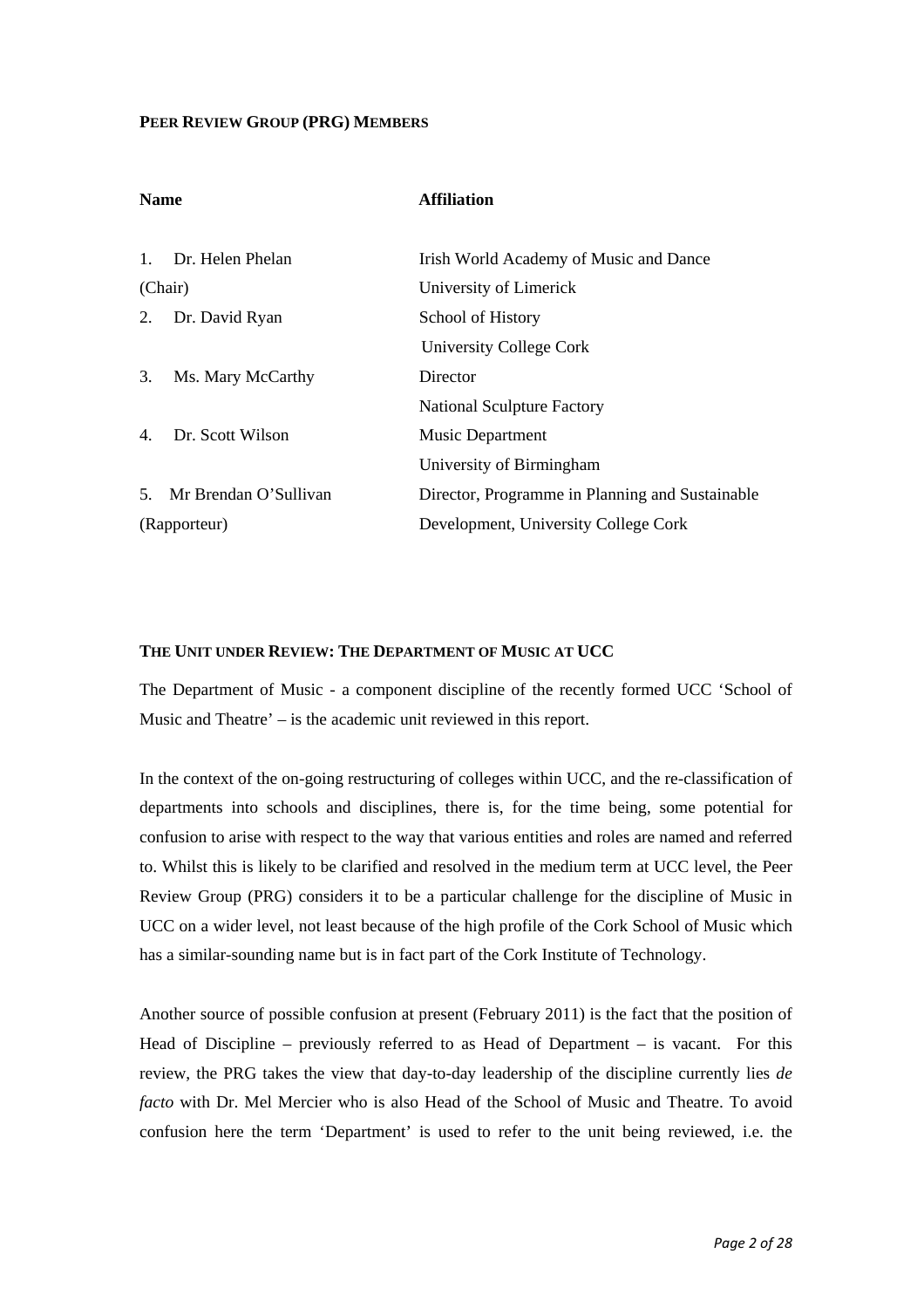#### **PEER REVIEW GROUP (PRG) MEMBERS**

| <b>Name</b>    |                       | <b>Affiliation</b>                              |
|----------------|-----------------------|-------------------------------------------------|
|                |                       |                                                 |
| $\mathbf{1}$ . | Dr. Helen Phelan      | Irish World Academy of Music and Dance          |
| (Chair)        |                       | University of Limerick                          |
| 2.             | Dr. David Ryan        | School of History                               |
|                |                       | University College Cork                         |
| 3.             | Ms. Mary McCarthy     | Director                                        |
|                |                       | <b>National Sculpture Factory</b>               |
| $4_{\cdot}$    | Dr. Scott Wilson      | <b>Music Department</b>                         |
|                |                       | University of Birmingham                        |
| 5.             | Mr Brendan O'Sullivan | Director, Programme in Planning and Sustainable |
| (Rapporteur)   |                       | Development, University College Cork            |

#### **THE UNIT UNDER REVIEW: THE DEPARTMENT OF MUSIC AT UCC**

The Department of Music - a component discipline of the recently formed UCC 'School of Music and Theatre' – is the academic unit reviewed in this report.

In the context of the on-going restructuring of colleges within UCC, and the re-classification of departments into schools and disciplines, there is, for the time being, some potential for confusion to arise with respect to the way that various entities and roles are named and referred to. Whilst this is likely to be clarified and resolved in the medium term at UCC level, the Peer Review Group (PRG) considers it to be a particular challenge for the discipline of Music in UCC on a wider level, not least because of the high profile of the Cork School of Music which has a similar-sounding name but is in fact part of the Cork Institute of Technology.

Another source of possible confusion at present (February 2011) is the fact that the position of Head of Discipline – previously referred to as Head of Department – is vacant. For this review, the PRG takes the view that day-to-day leadership of the discipline currently lies *de facto* with Dr. Mel Mercier who is also Head of the School of Music and Theatre. To avoid confusion here the term 'Department' is used to refer to the unit being reviewed, i.e. the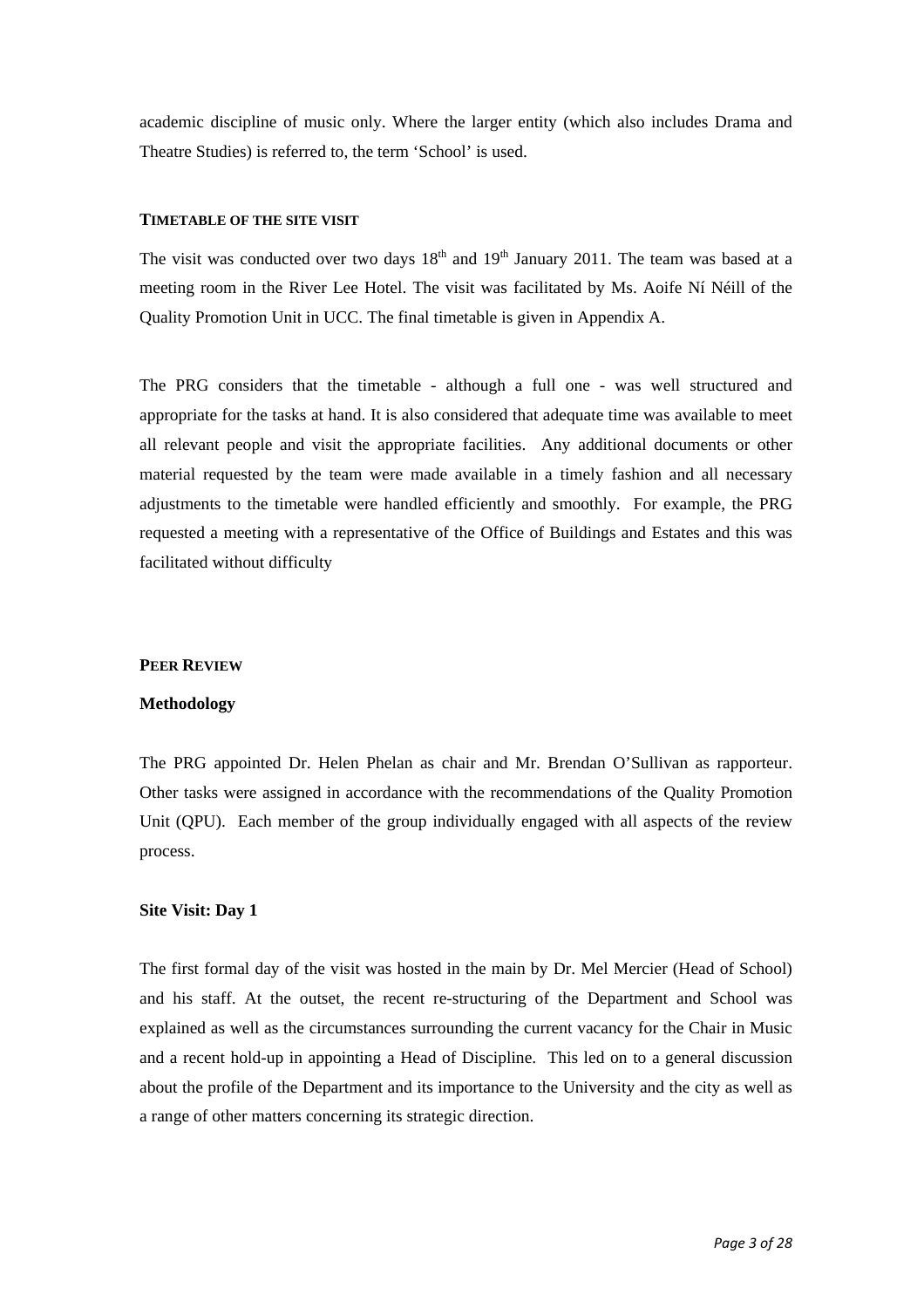academic discipline of music only. Where the larger entity (which also includes Drama and Theatre Studies) is referred to, the term 'School' is used.

#### **TIMETABLE OF THE SITE VISIT**

The visit was conducted over two days  $18<sup>th</sup>$  and  $19<sup>th</sup>$  January 2011. The team was based at a meeting room in the River Lee Hotel. The visit was facilitated by Ms. Aoife Ní Néill of the Quality Promotion Unit in UCC. The final timetable is given in Appendix A.

The PRG considers that the timetable - although a full one - was well structured and appropriate for the tasks at hand. It is also considered that adequate time was available to meet all relevant people and visit the appropriate facilities. Any additional documents or other material requested by the team were made available in a timely fashion and all necessary adjustments to the timetable were handled efficiently and smoothly. For example, the PRG requested a meeting with a representative of the Office of Buildings and Estates and this was facilitated without difficulty

#### **PEER REVIEW**

#### **Methodology**

The PRG appointed Dr. Helen Phelan as chair and Mr. Brendan O'Sullivan as rapporteur. Other tasks were assigned in accordance with the recommendations of the Quality Promotion Unit (QPU). Each member of the group individually engaged with all aspects of the review process.

#### **Site Visit: Day 1**

The first formal day of the visit was hosted in the main by Dr. Mel Mercier (Head of School) and his staff. At the outset, the recent re-structuring of the Department and School was explained as well as the circumstances surrounding the current vacancy for the Chair in Music and a recent hold-up in appointing a Head of Discipline. This led on to a general discussion about the profile of the Department and its importance to the University and the city as well as a range of other matters concerning its strategic direction.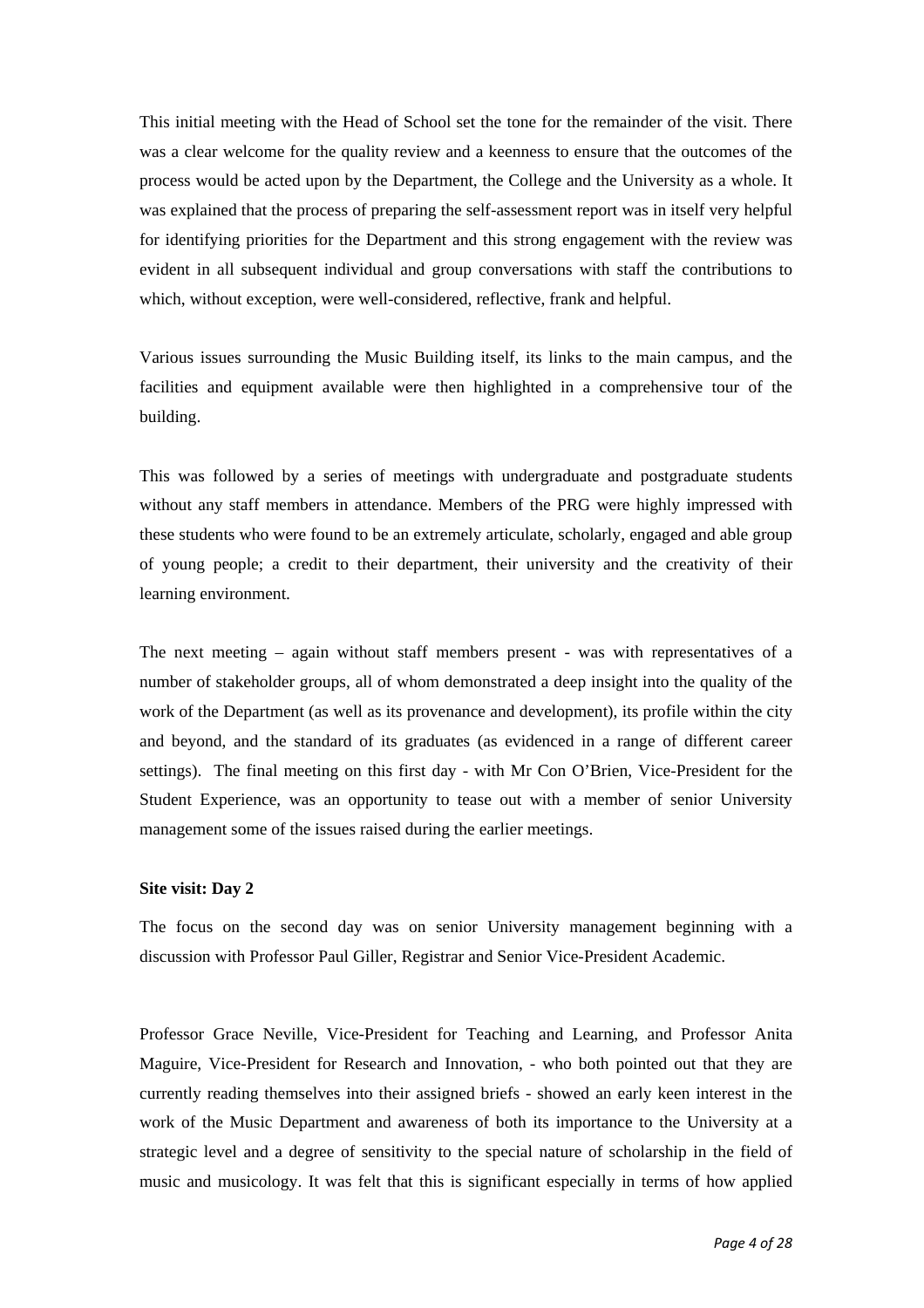This initial meeting with the Head of School set the tone for the remainder of the visit. There was a clear welcome for the quality review and a keenness to ensure that the outcomes of the process would be acted upon by the Department, the College and the University as a whole. It was explained that the process of preparing the self-assessment report was in itself very helpful for identifying priorities for the Department and this strong engagement with the review was evident in all subsequent individual and group conversations with staff the contributions to which, without exception, were well-considered, reflective, frank and helpful.

Various issues surrounding the Music Building itself, its links to the main campus, and the facilities and equipment available were then highlighted in a comprehensive tour of the building.

This was followed by a series of meetings with undergraduate and postgraduate students without any staff members in attendance. Members of the PRG were highly impressed with these students who were found to be an extremely articulate, scholarly, engaged and able group of young people; a credit to their department, their university and the creativity of their learning environment.

The next meeting – again without staff members present - was with representatives of a number of stakeholder groups, all of whom demonstrated a deep insight into the quality of the work of the Department (as well as its provenance and development), its profile within the city and beyond, and the standard of its graduates (as evidenced in a range of different career settings). The final meeting on this first day - with Mr Con O'Brien, Vice-President for the Student Experience, was an opportunity to tease out with a member of senior University management some of the issues raised during the earlier meetings.

#### **Site visit: Day 2**

The focus on the second day was on senior University management beginning with a discussion with Professor Paul Giller, Registrar and Senior Vice-President Academic.

Professor Grace Neville, Vice-President for Teaching and Learning, and Professor Anita Maguire, Vice-President for Research and Innovation, - who both pointed out that they are currently reading themselves into their assigned briefs - showed an early keen interest in the work of the Music Department and awareness of both its importance to the University at a strategic level and a degree of sensitivity to the special nature of scholarship in the field of music and musicology. It was felt that this is significant especially in terms of how applied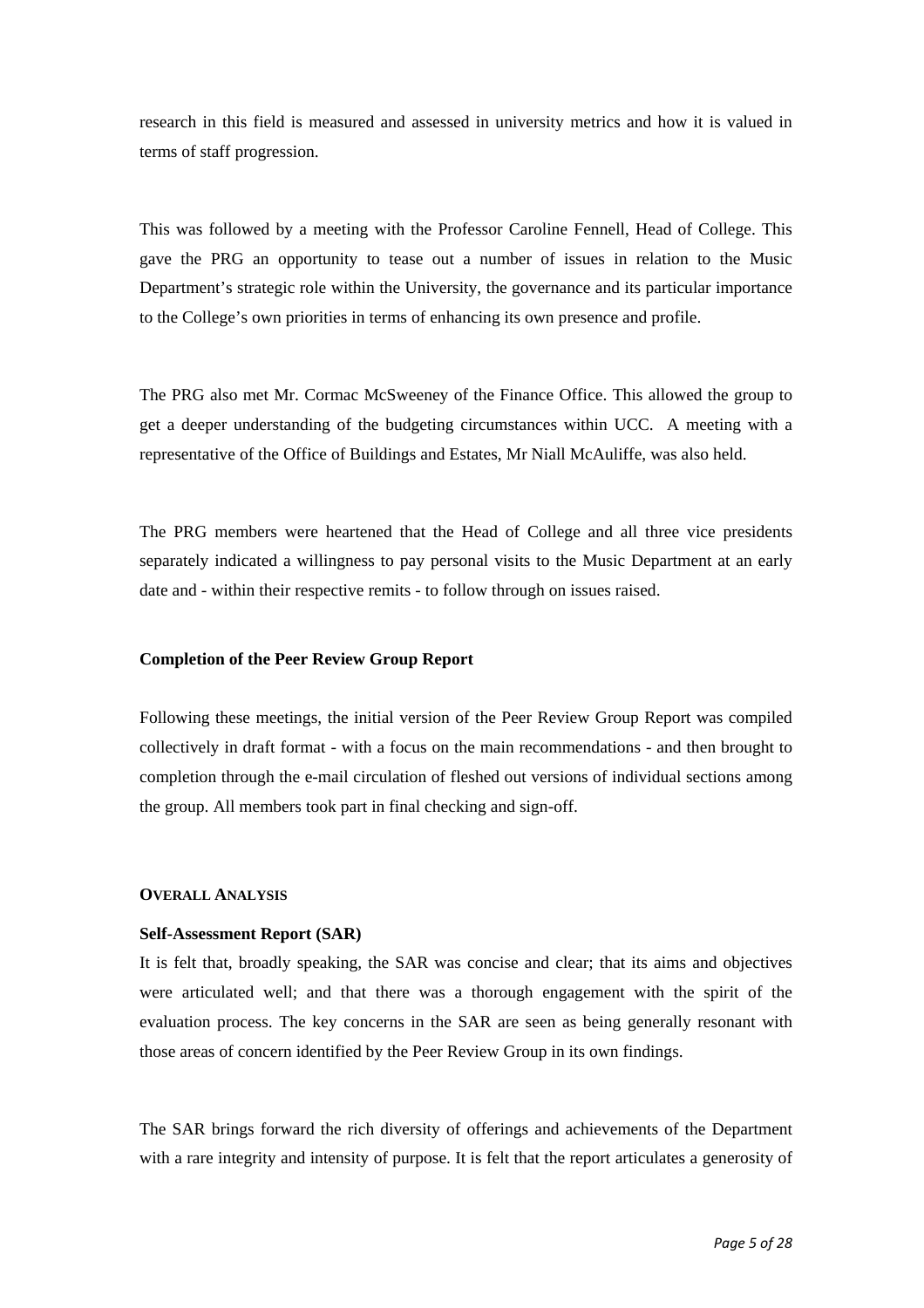research in this field is measured and assessed in university metrics and how it is valued in terms of staff progression.

This was followed by a meeting with the Professor Caroline Fennell, Head of College. This gave the PRG an opportunity to tease out a number of issues in relation to the Music Department's strategic role within the University, the governance and its particular importance to the College's own priorities in terms of enhancing its own presence and profile.

The PRG also met Mr. Cormac McSweeney of the Finance Office. This allowed the group to get a deeper understanding of the budgeting circumstances within UCC. A meeting with a representative of the Office of Buildings and Estates, Mr Niall McAuliffe, was also held.

The PRG members were heartened that the Head of College and all three vice presidents separately indicated a willingness to pay personal visits to the Music Department at an early date and - within their respective remits - to follow through on issues raised.

#### **Completion of the Peer Review Group Report**

Following these meetings, the initial version of the Peer Review Group Report was compiled collectively in draft format - with a focus on the main recommendations - and then brought to completion through the e-mail circulation of fleshed out versions of individual sections among the group. All members took part in final checking and sign-off.

#### **OVERALL ANALYSIS**

#### **Self-Assessment Report (SAR)**

It is felt that, broadly speaking, the SAR was concise and clear; that its aims and objectives were articulated well; and that there was a thorough engagement with the spirit of the evaluation process. The key concerns in the SAR are seen as being generally resonant with those areas of concern identified by the Peer Review Group in its own findings.

The SAR brings forward the rich diversity of offerings and achievements of the Department with a rare integrity and intensity of purpose. It is felt that the report articulates a generosity of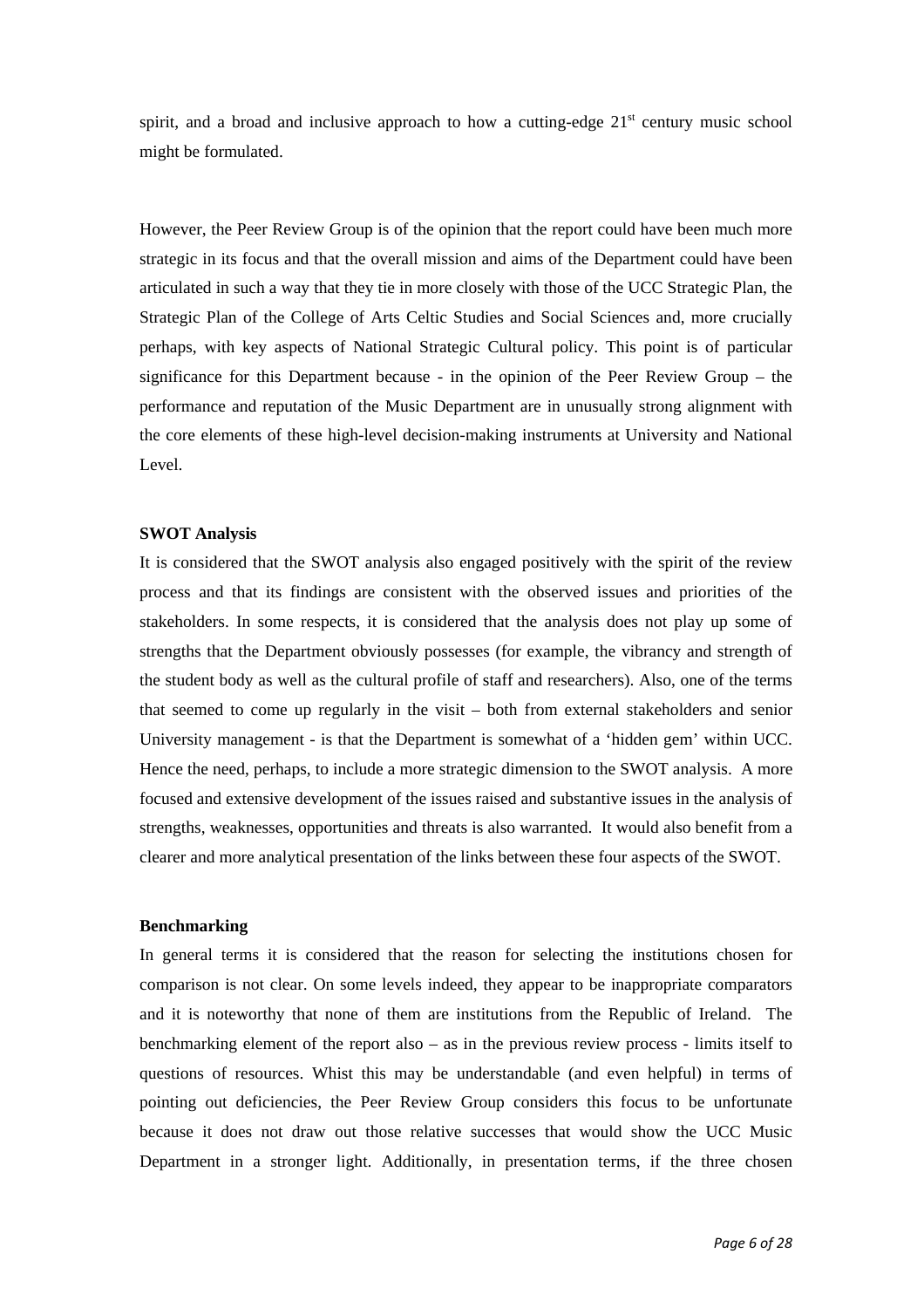spirit, and a broad and inclusive approach to how a cutting-edge  $21<sup>st</sup>$  century music school might be formulated.

However, the Peer Review Group is of the opinion that the report could have been much more strategic in its focus and that the overall mission and aims of the Department could have been articulated in such a way that they tie in more closely with those of the UCC Strategic Plan, the Strategic Plan of the College of Arts Celtic Studies and Social Sciences and, more crucially perhaps, with key aspects of National Strategic Cultural policy. This point is of particular significance for this Department because - in the opinion of the Peer Review Group – the performance and reputation of the Music Department are in unusually strong alignment with the core elements of these high-level decision-making instruments at University and National Level.

#### **SWOT Analysis**

It is considered that the SWOT analysis also engaged positively with the spirit of the review process and that its findings are consistent with the observed issues and priorities of the stakeholders. In some respects, it is considered that the analysis does not play up some of strengths that the Department obviously possesses (for example, the vibrancy and strength of the student body as well as the cultural profile of staff and researchers). Also, one of the terms that seemed to come up regularly in the visit – both from external stakeholders and senior University management - is that the Department is somewhat of a 'hidden gem' within UCC. Hence the need, perhaps, to include a more strategic dimension to the SWOT analysis. A more focused and extensive development of the issues raised and substantive issues in the analysis of strengths, weaknesses, opportunities and threats is also warranted. It would also benefit from a clearer and more analytical presentation of the links between these four aspects of the SWOT.

#### **Benchmarking**

In general terms it is considered that the reason for selecting the institutions chosen for comparison is not clear. On some levels indeed, they appear to be inappropriate comparators and it is noteworthy that none of them are institutions from the Republic of Ireland. The benchmarking element of the report also – as in the previous review process - limits itself to questions of resources. Whist this may be understandable (and even helpful) in terms of pointing out deficiencies, the Peer Review Group considers this focus to be unfortunate because it does not draw out those relative successes that would show the UCC Music Department in a stronger light. Additionally, in presentation terms, if the three chosen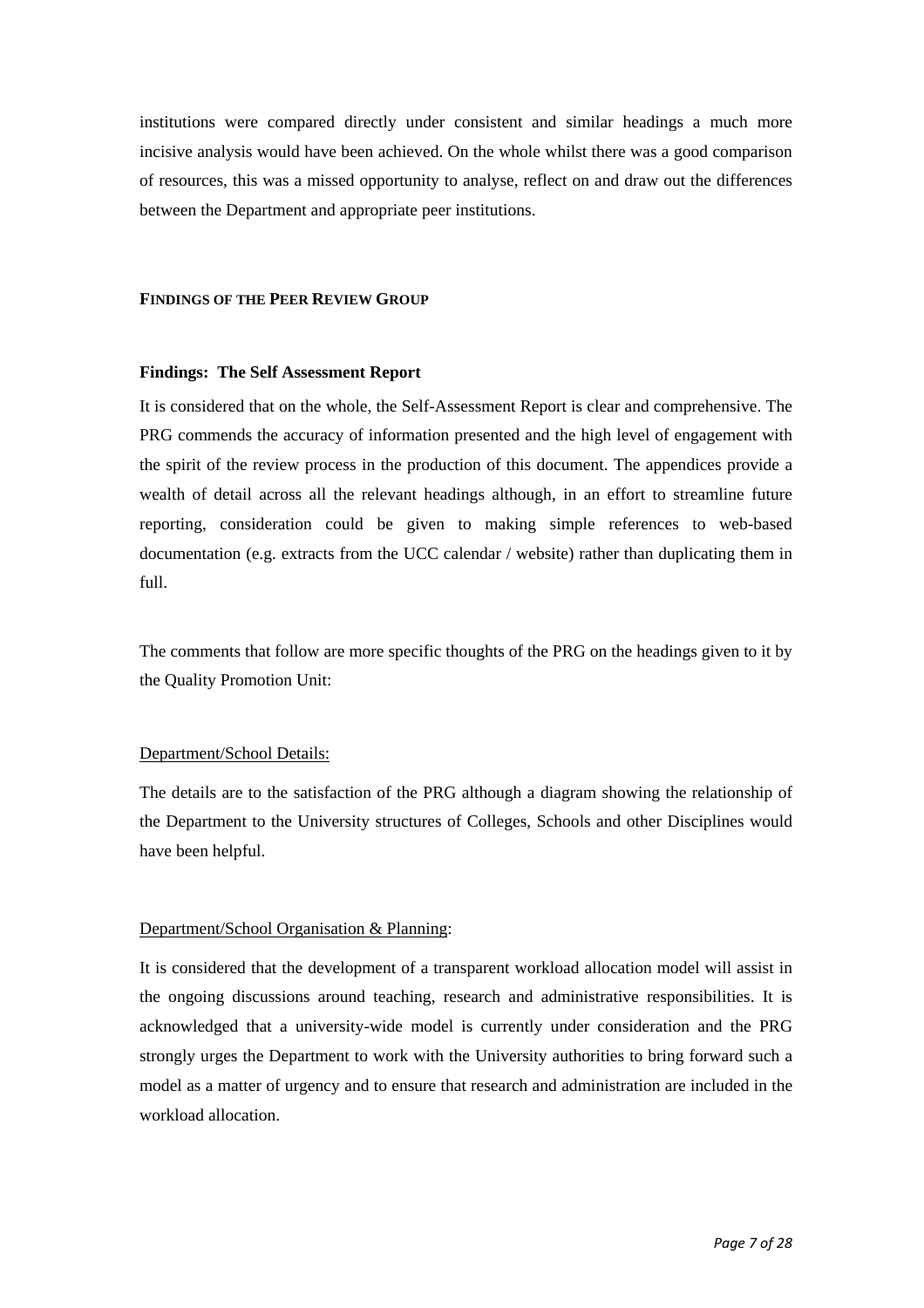institutions were compared directly under consistent and similar headings a much more incisive analysis would have been achieved. On the whole whilst there was a good comparison of resources, this was a missed opportunity to analyse, reflect on and draw out the differences between the Department and appropriate peer institutions.

#### **FINDINGS OF THE PEER REVIEW GROUP**

#### **Findings: The Self Assessment Report**

It is considered that on the whole, the Self-Assessment Report is clear and comprehensive. The PRG commends the accuracy of information presented and the high level of engagement with the spirit of the review process in the production of this document. The appendices provide a wealth of detail across all the relevant headings although, in an effort to streamline future reporting, consideration could be given to making simple references to web-based documentation (e.g. extracts from the UCC calendar / website) rather than duplicating them in full.

The comments that follow are more specific thoughts of the PRG on the headings given to it by the Quality Promotion Unit:

#### Department/School Details:

The details are to the satisfaction of the PRG although a diagram showing the relationship of the Department to the University structures of Colleges, Schools and other Disciplines would have been helpful.

#### Department/School Organisation & Planning:

It is considered that the development of a transparent workload allocation model will assist in the ongoing discussions around teaching, research and administrative responsibilities. It is acknowledged that a university-wide model is currently under consideration and the PRG strongly urges the Department to work with the University authorities to bring forward such a model as a matter of urgency and to ensure that research and administration are included in the workload allocation.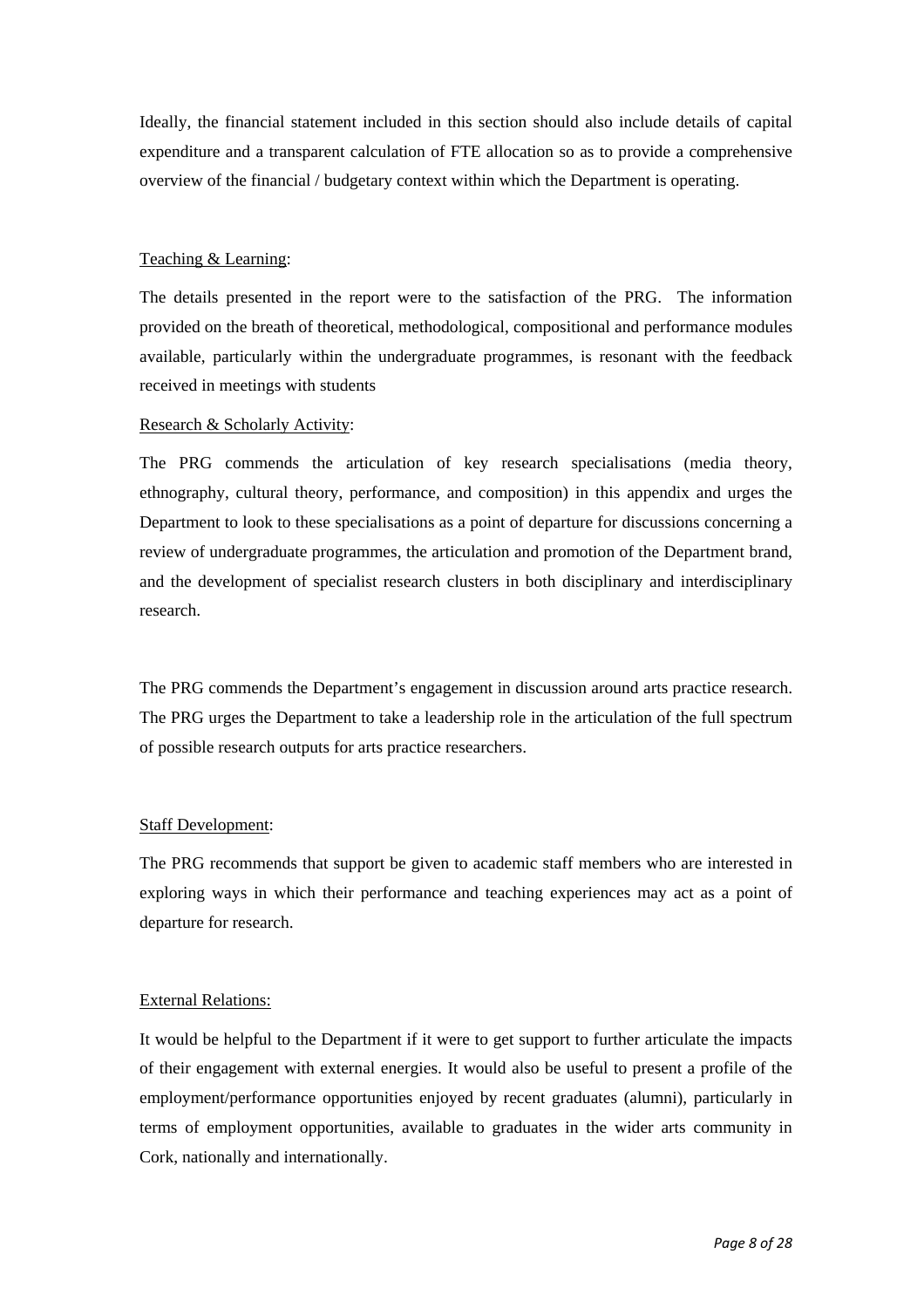Ideally, the financial statement included in this section should also include details of capital expenditure and a transparent calculation of FTE allocation so as to provide a comprehensive overview of the financial / budgetary context within which the Department is operating.

#### Teaching & Learning:

The details presented in the report were to the satisfaction of the PRG. The information provided on the breath of theoretical, methodological, compositional and performance modules available, particularly within the undergraduate programmes, is resonant with the feedback received in meetings with students

#### Research & Scholarly Activity:

The PRG commends the articulation of key research specialisations (media theory, ethnography, cultural theory, performance, and composition) in this appendix and urges the Department to look to these specialisations as a point of departure for discussions concerning a review of undergraduate programmes, the articulation and promotion of the Department brand, and the development of specialist research clusters in both disciplinary and interdisciplinary research.

The PRG commends the Department's engagement in discussion around arts practice research. The PRG urges the Department to take a leadership role in the articulation of the full spectrum of possible research outputs for arts practice researchers.

#### Staff Development:

The PRG recommends that support be given to academic staff members who are interested in exploring ways in which their performance and teaching experiences may act as a point of departure for research.

#### External Relations:

It would be helpful to the Department if it were to get support to further articulate the impacts of their engagement with external energies. It would also be useful to present a profile of the employment/performance opportunities enjoyed by recent graduates (alumni), particularly in terms of employment opportunities, available to graduates in the wider arts community in Cork, nationally and internationally.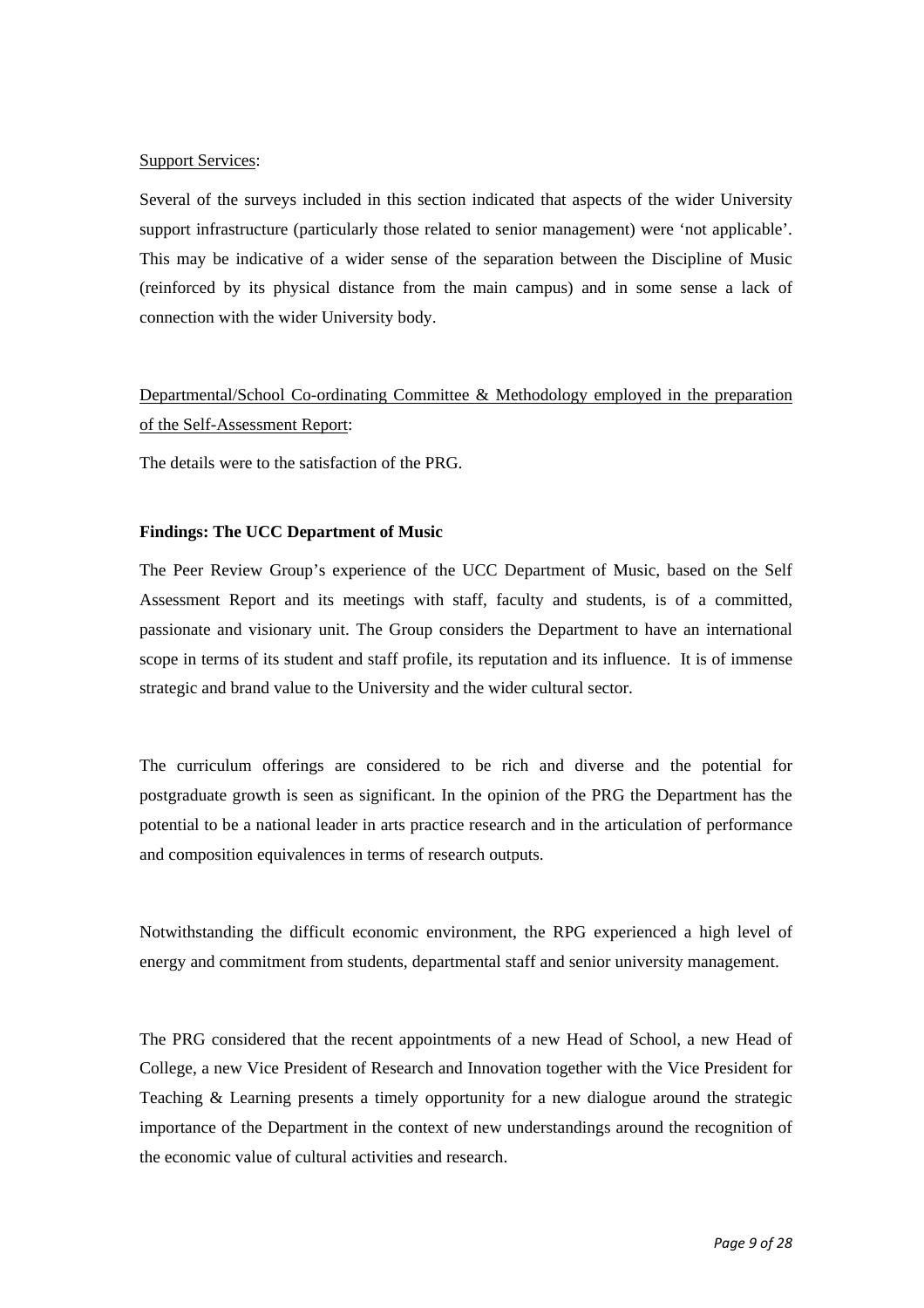#### Support Services:

Several of the surveys included in this section indicated that aspects of the wider University support infrastructure (particularly those related to senior management) were 'not applicable'. This may be indicative of a wider sense of the separation between the Discipline of Music (reinforced by its physical distance from the main campus) and in some sense a lack of connection with the wider University body.

## Departmental/School Co-ordinating Committee & Methodology employed in the preparation of the Self-Assessment Report:

The details were to the satisfaction of the PRG.

#### **Findings: The UCC Department of Music**

The Peer Review Group's experience of the UCC Department of Music, based on the Self Assessment Report and its meetings with staff, faculty and students, is of a committed, passionate and visionary unit. The Group considers the Department to have an international scope in terms of its student and staff profile, its reputation and its influence. It is of immense strategic and brand value to the University and the wider cultural sector.

The curriculum offerings are considered to be rich and diverse and the potential for postgraduate growth is seen as significant. In the opinion of the PRG the Department has the potential to be a national leader in arts practice research and in the articulation of performance and composition equivalences in terms of research outputs.

Notwithstanding the difficult economic environment, the RPG experienced a high level of energy and commitment from students, departmental staff and senior university management.

The PRG considered that the recent appointments of a new Head of School, a new Head of College, a new Vice President of Research and Innovation together with the Vice President for Teaching & Learning presents a timely opportunity for a new dialogue around the strategic importance of the Department in the context of new understandings around the recognition of the economic value of cultural activities and research.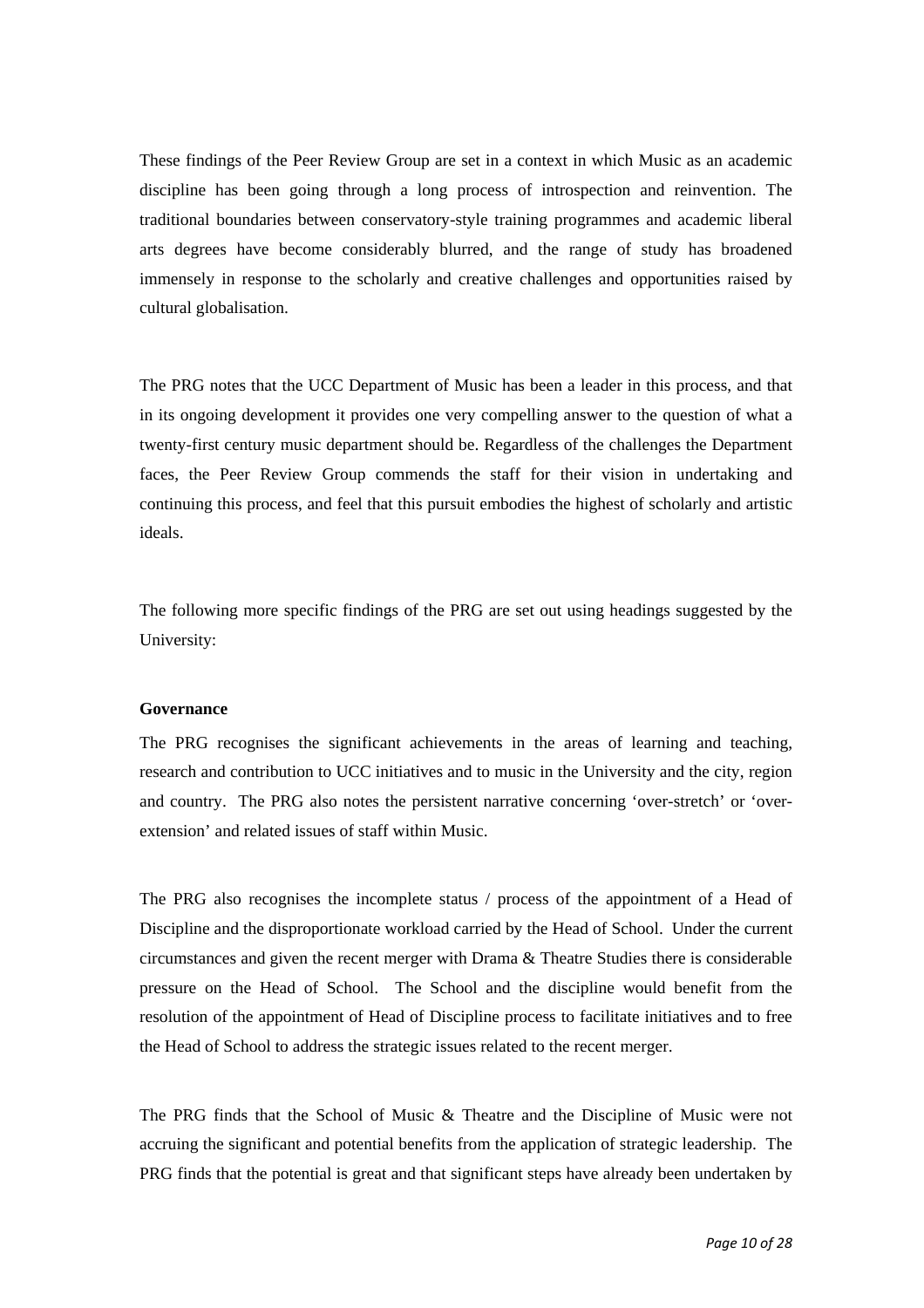These findings of the Peer Review Group are set in a context in which Music as an academic discipline has been going through a long process of introspection and reinvention. The traditional boundaries between conservatory-style training programmes and academic liberal arts degrees have become considerably blurred, and the range of study has broadened immensely in response to the scholarly and creative challenges and opportunities raised by cultural globalisation.

The PRG notes that the UCC Department of Music has been a leader in this process, and that in its ongoing development it provides one very compelling answer to the question of what a twenty-first century music department should be. Regardless of the challenges the Department faces, the Peer Review Group commends the staff for their vision in undertaking and continuing this process, and feel that this pursuit embodies the highest of scholarly and artistic ideals.

The following more specific findings of the PRG are set out using headings suggested by the University:

#### **Governance**

The PRG recognises the significant achievements in the areas of learning and teaching, research and contribution to UCC initiatives and to music in the University and the city, region and country. The PRG also notes the persistent narrative concerning 'over-stretch' or 'overextension' and related issues of staff within Music.

The PRG also recognises the incomplete status / process of the appointment of a Head of Discipline and the disproportionate workload carried by the Head of School. Under the current circumstances and given the recent merger with Drama & Theatre Studies there is considerable pressure on the Head of School. The School and the discipline would benefit from the resolution of the appointment of Head of Discipline process to facilitate initiatives and to free the Head of School to address the strategic issues related to the recent merger.

The PRG finds that the School of Music & Theatre and the Discipline of Music were not accruing the significant and potential benefits from the application of strategic leadership. The PRG finds that the potential is great and that significant steps have already been undertaken by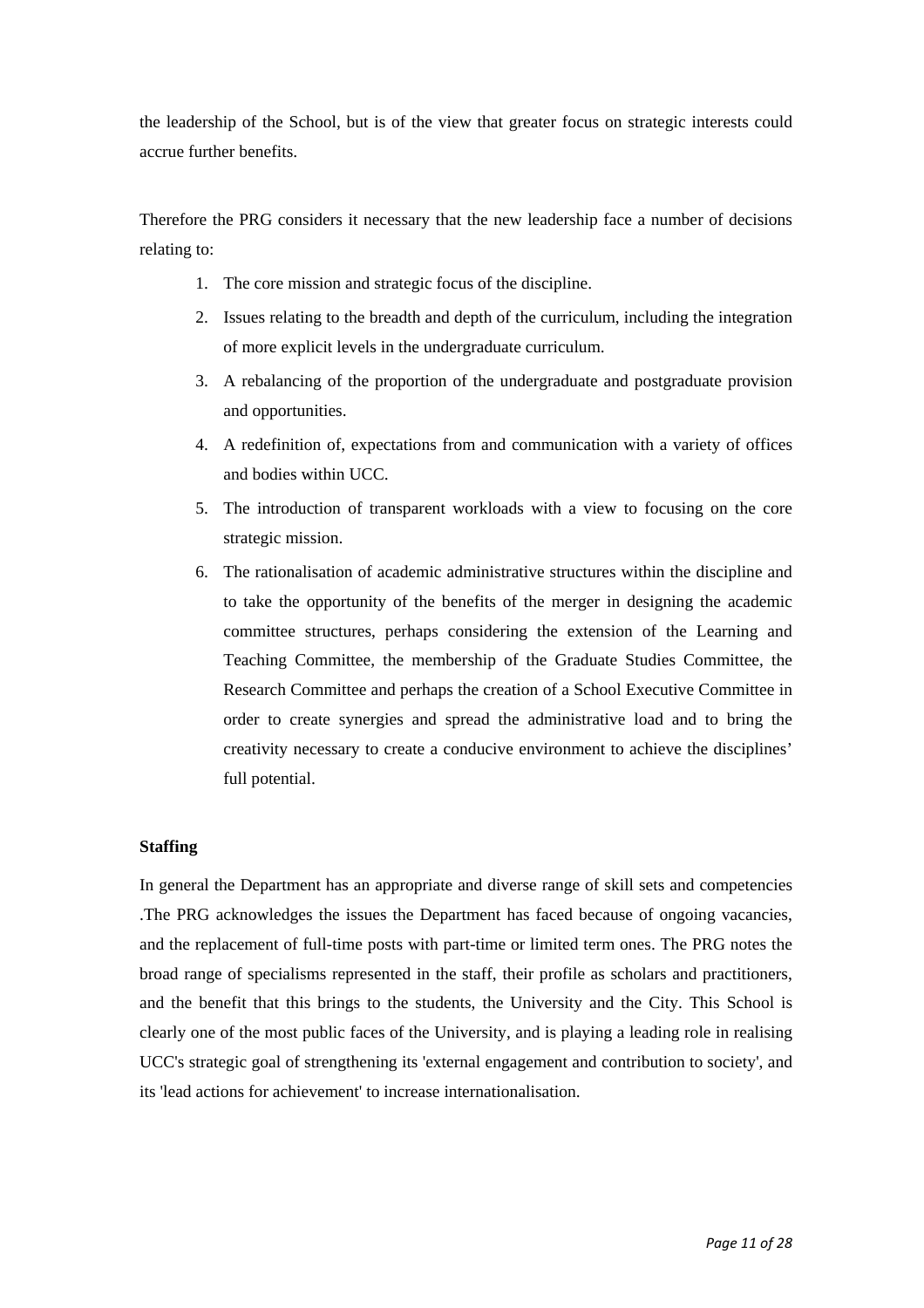the leadership of the School, but is of the view that greater focus on strategic interests could accrue further benefits.

Therefore the PRG considers it necessary that the new leadership face a number of decisions relating to:

- 1. The core mission and strategic focus of the discipline.
- 2. Issues relating to the breadth and depth of the curriculum, including the integration of more explicit levels in the undergraduate curriculum.
- 3. A rebalancing of the proportion of the undergraduate and postgraduate provision and opportunities.
- 4. A redefinition of, expectations from and communication with a variety of offices and bodies within UCC.
- 5. The introduction of transparent workloads with a view to focusing on the core strategic mission.
- 6. The rationalisation of academic administrative structures within the discipline and to take the opportunity of the benefits of the merger in designing the academic committee structures, perhaps considering the extension of the Learning and Teaching Committee, the membership of the Graduate Studies Committee, the Research Committee and perhaps the creation of a School Executive Committee in order to create synergies and spread the administrative load and to bring the creativity necessary to create a conducive environment to achieve the disciplines' full potential.

#### **Staffing**

In general the Department has an appropriate and diverse range of skill sets and competencies .The PRG acknowledges the issues the Department has faced because of ongoing vacancies, and the replacement of full-time posts with part-time or limited term ones. The PRG notes the broad range of specialisms represented in the staff, their profile as scholars and practitioners, and the benefit that this brings to the students, the University and the City. This School is clearly one of the most public faces of the University, and is playing a leading role in realising UCC's strategic goal of strengthening its 'external engagement and contribution to society', and its 'lead actions for achievement' to increase internationalisation.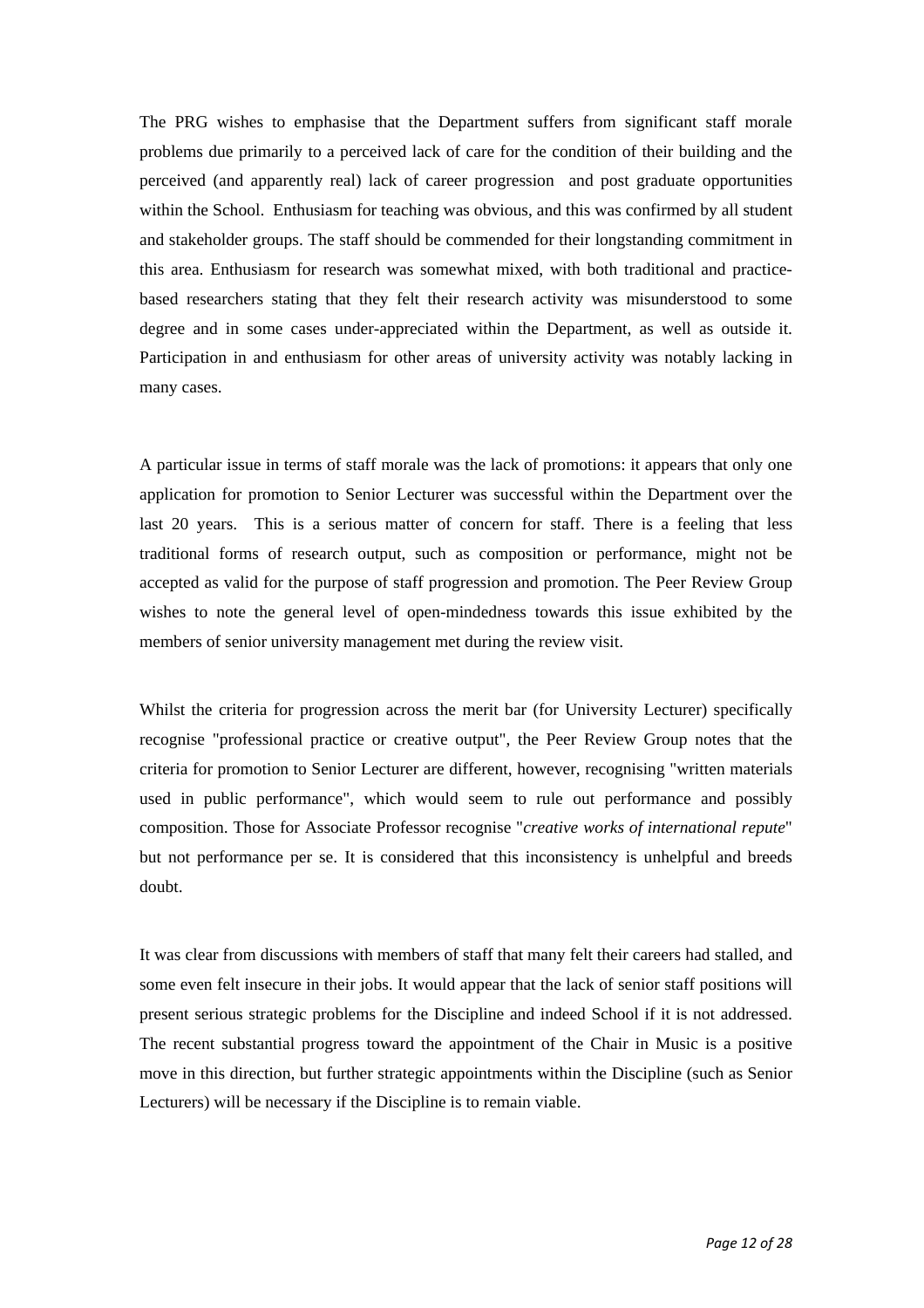The PRG wishes to emphasise that the Department suffers from significant staff morale problems due primarily to a perceived lack of care for the condition of their building and the perceived (and apparently real) lack of career progression and post graduate opportunities within the School. Enthusiasm for teaching was obvious, and this was confirmed by all student and stakeholder groups. The staff should be commended for their longstanding commitment in this area. Enthusiasm for research was somewhat mixed, with both traditional and practicebased researchers stating that they felt their research activity was misunderstood to some degree and in some cases under-appreciated within the Department, as well as outside it. Participation in and enthusiasm for other areas of university activity was notably lacking in many cases.

A particular issue in terms of staff morale was the lack of promotions: it appears that only one application for promotion to Senior Lecturer was successful within the Department over the last 20 years. This is a serious matter of concern for staff. There is a feeling that less traditional forms of research output, such as composition or performance, might not be accepted as valid for the purpose of staff progression and promotion. The Peer Review Group wishes to note the general level of open-mindedness towards this issue exhibited by the members of senior university management met during the review visit.

Whilst the criteria for progression across the merit bar (for University Lecturer) specifically recognise "professional practice or creative output", the Peer Review Group notes that the criteria for promotion to Senior Lecturer are different, however, recognising "written materials used in public performance", which would seem to rule out performance and possibly composition. Those for Associate Professor recognise "*creative works of international repute*" but not performance per se. It is considered that this inconsistency is unhelpful and breeds doubt.

It was clear from discussions with members of staff that many felt their careers had stalled, and some even felt insecure in their jobs. It would appear that the lack of senior staff positions will present serious strategic problems for the Discipline and indeed School if it is not addressed. The recent substantial progress toward the appointment of the Chair in Music is a positive move in this direction, but further strategic appointments within the Discipline (such as Senior Lecturers) will be necessary if the Discipline is to remain viable.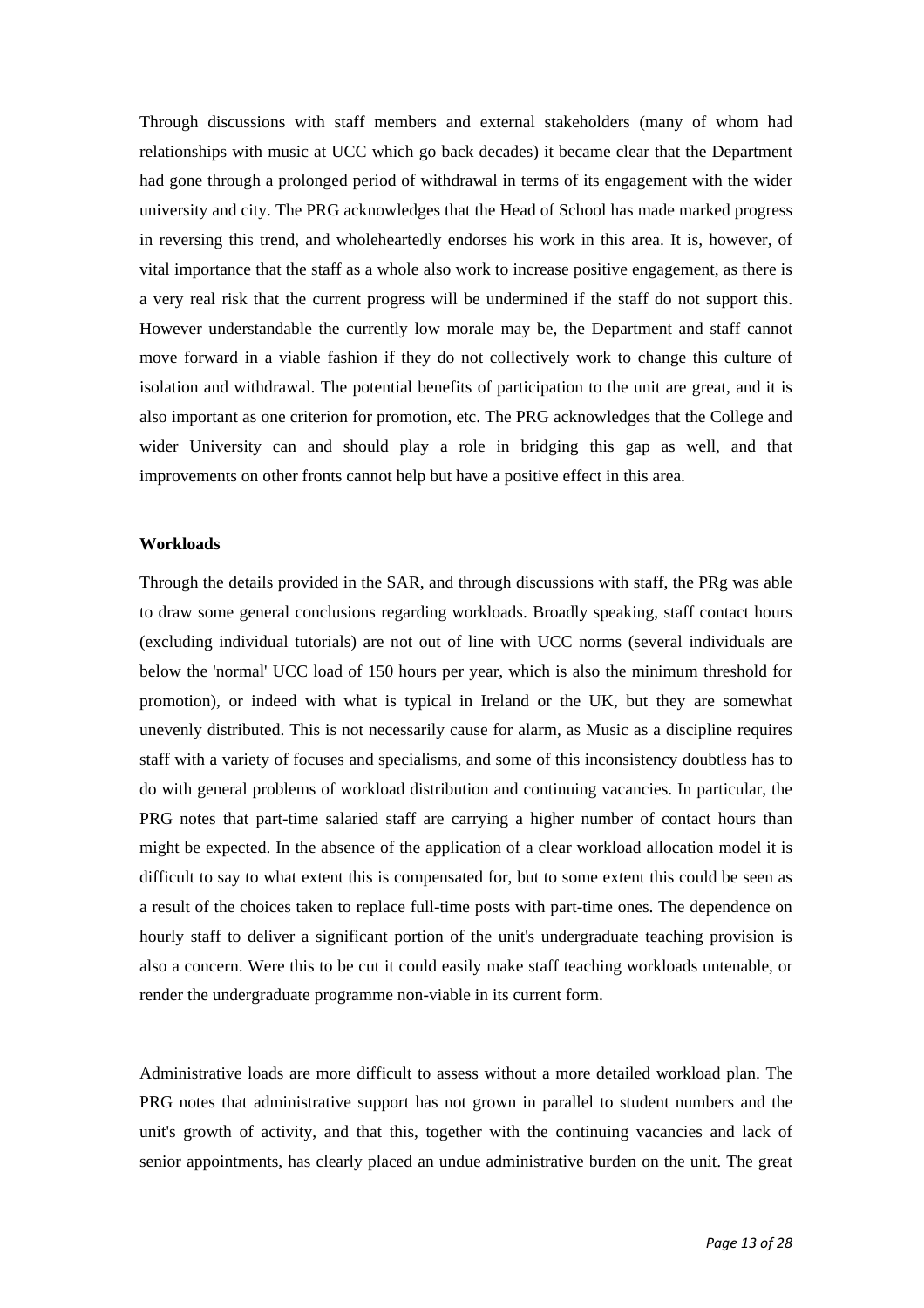Through discussions with staff members and external stakeholders (many of whom had relationships with music at UCC which go back decades) it became clear that the Department had gone through a prolonged period of withdrawal in terms of its engagement with the wider university and city. The PRG acknowledges that the Head of School has made marked progress in reversing this trend, and wholeheartedly endorses his work in this area. It is, however, of vital importance that the staff as a whole also work to increase positive engagement, as there is a very real risk that the current progress will be undermined if the staff do not support this. However understandable the currently low morale may be, the Department and staff cannot move forward in a viable fashion if they do not collectively work to change this culture of isolation and withdrawal. The potential benefits of participation to the unit are great, and it is also important as one criterion for promotion, etc. The PRG acknowledges that the College and wider University can and should play a role in bridging this gap as well, and that improvements on other fronts cannot help but have a positive effect in this area.

#### **Workloads**

Through the details provided in the SAR, and through discussions with staff, the PRg was able to draw some general conclusions regarding workloads. Broadly speaking, staff contact hours (excluding individual tutorials) are not out of line with UCC norms (several individuals are below the 'normal' UCC load of 150 hours per year, which is also the minimum threshold for promotion), or indeed with what is typical in Ireland or the UK, but they are somewhat unevenly distributed. This is not necessarily cause for alarm, as Music as a discipline requires staff with a variety of focuses and specialisms, and some of this inconsistency doubtless has to do with general problems of workload distribution and continuing vacancies. In particular, the PRG notes that part-time salaried staff are carrying a higher number of contact hours than might be expected. In the absence of the application of a clear workload allocation model it is difficult to say to what extent this is compensated for, but to some extent this could be seen as a result of the choices taken to replace full-time posts with part-time ones. The dependence on hourly staff to deliver a significant portion of the unit's undergraduate teaching provision is also a concern. Were this to be cut it could easily make staff teaching workloads untenable, or render the undergraduate programme non-viable in its current form.

Administrative loads are more difficult to assess without a more detailed workload plan. The PRG notes that administrative support has not grown in parallel to student numbers and the unit's growth of activity, and that this, together with the continuing vacancies and lack of senior appointments, has clearly placed an undue administrative burden on the unit. The great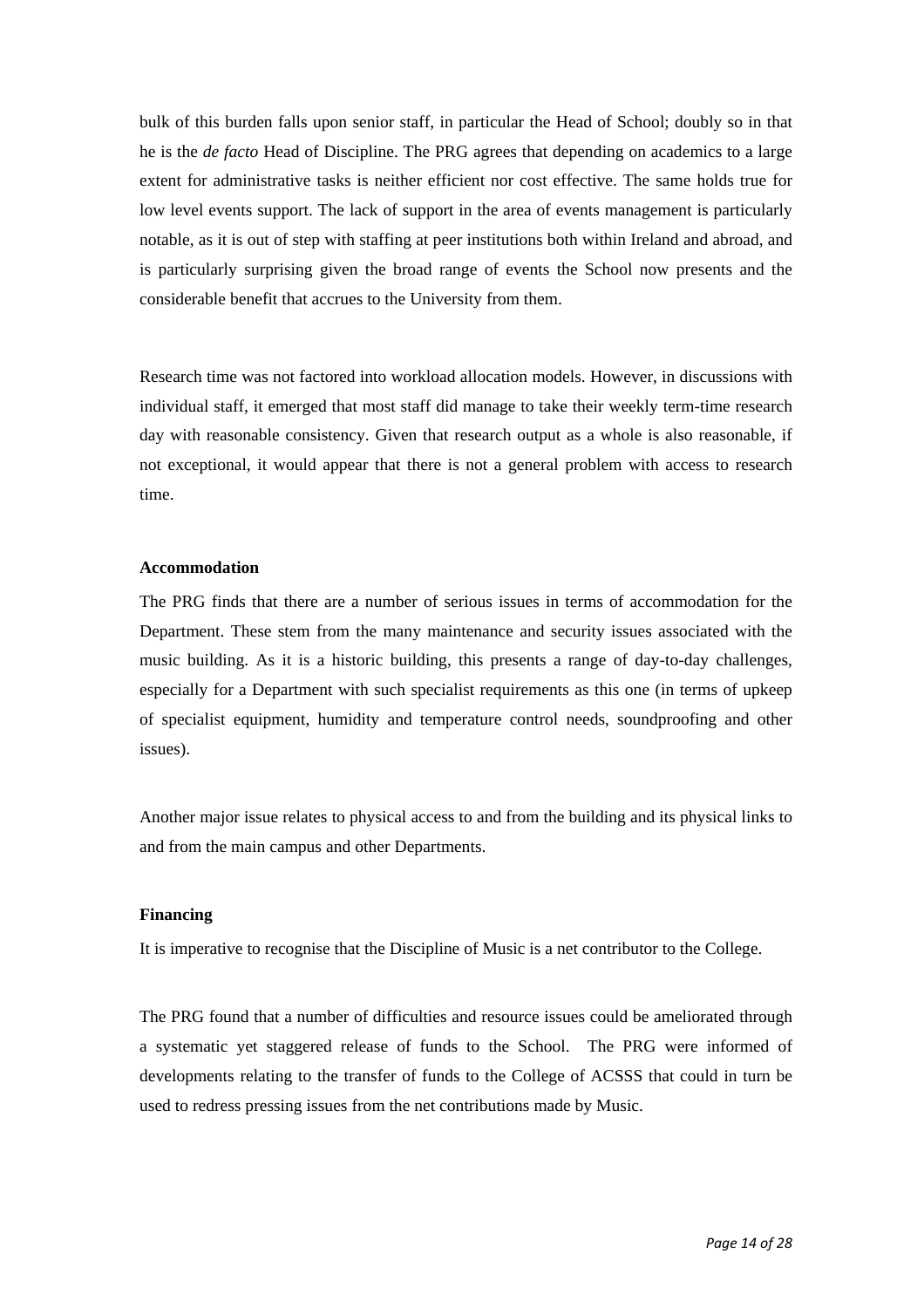bulk of this burden falls upon senior staff, in particular the Head of School; doubly so in that he is the *de facto* Head of Discipline. The PRG agrees that depending on academics to a large extent for administrative tasks is neither efficient nor cost effective. The same holds true for low level events support. The lack of support in the area of events management is particularly notable, as it is out of step with staffing at peer institutions both within Ireland and abroad, and is particularly surprising given the broad range of events the School now presents and the considerable benefit that accrues to the University from them.

Research time was not factored into workload allocation models. However, in discussions with individual staff, it emerged that most staff did manage to take their weekly term-time research day with reasonable consistency. Given that research output as a whole is also reasonable, if not exceptional, it would appear that there is not a general problem with access to research time.

#### **Accommodation**

The PRG finds that there are a number of serious issues in terms of accommodation for the Department. These stem from the many maintenance and security issues associated with the music building. As it is a historic building, this presents a range of day-to-day challenges, especially for a Department with such specialist requirements as this one (in terms of upkeep of specialist equipment, humidity and temperature control needs, soundproofing and other issues).

Another major issue relates to physical access to and from the building and its physical links to and from the main campus and other Departments.

#### **Financing**

It is imperative to recognise that the Discipline of Music is a net contributor to the College.

The PRG found that a number of difficulties and resource issues could be ameliorated through a systematic yet staggered release of funds to the School. The PRG were informed of developments relating to the transfer of funds to the College of ACSSS that could in turn be used to redress pressing issues from the net contributions made by Music.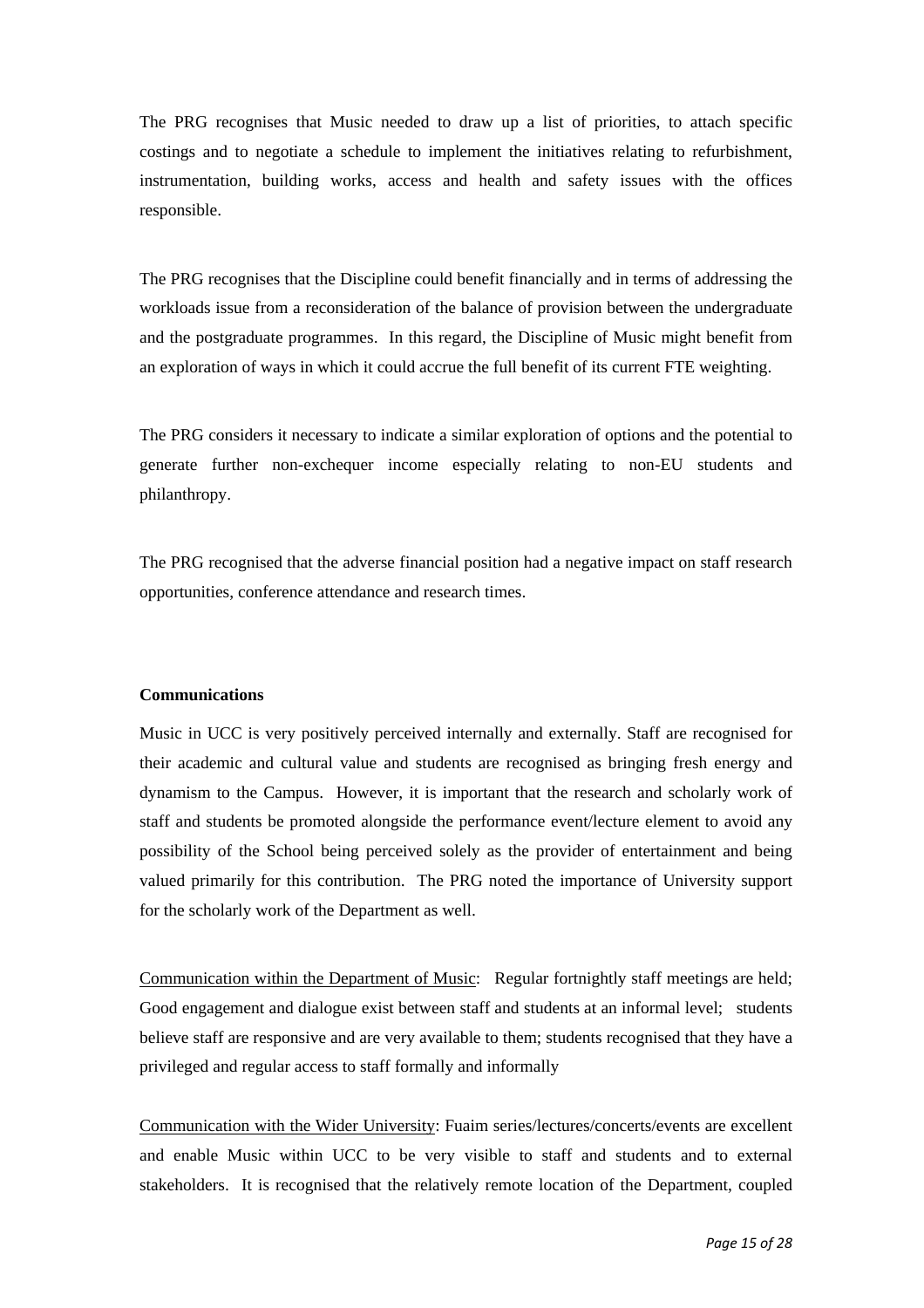The PRG recognises that Music needed to draw up a list of priorities, to attach specific costings and to negotiate a schedule to implement the initiatives relating to refurbishment, instrumentation, building works, access and health and safety issues with the offices responsible.

The PRG recognises that the Discipline could benefit financially and in terms of addressing the workloads issue from a reconsideration of the balance of provision between the undergraduate and the postgraduate programmes. In this regard, the Discipline of Music might benefit from an exploration of ways in which it could accrue the full benefit of its current FTE weighting.

The PRG considers it necessary to indicate a similar exploration of options and the potential to generate further non-exchequer income especially relating to non-EU students and philanthropy.

The PRG recognised that the adverse financial position had a negative impact on staff research opportunities, conference attendance and research times.

#### **Communications**

Music in UCC is very positively perceived internally and externally. Staff are recognised for their academic and cultural value and students are recognised as bringing fresh energy and dynamism to the Campus. However, it is important that the research and scholarly work of staff and students be promoted alongside the performance event/lecture element to avoid any possibility of the School being perceived solely as the provider of entertainment and being valued primarily for this contribution. The PRG noted the importance of University support for the scholarly work of the Department as well.

Communication within the Department of Music: Regular fortnightly staff meetings are held; Good engagement and dialogue exist between staff and students at an informal level; students believe staff are responsive and are very available to them; students recognised that they have a privileged and regular access to staff formally and informally

Communication with the Wider University: Fuaim series/lectures/concerts/events are excellent and enable Music within UCC to be very visible to staff and students and to external stakeholders. It is recognised that the relatively remote location of the Department, coupled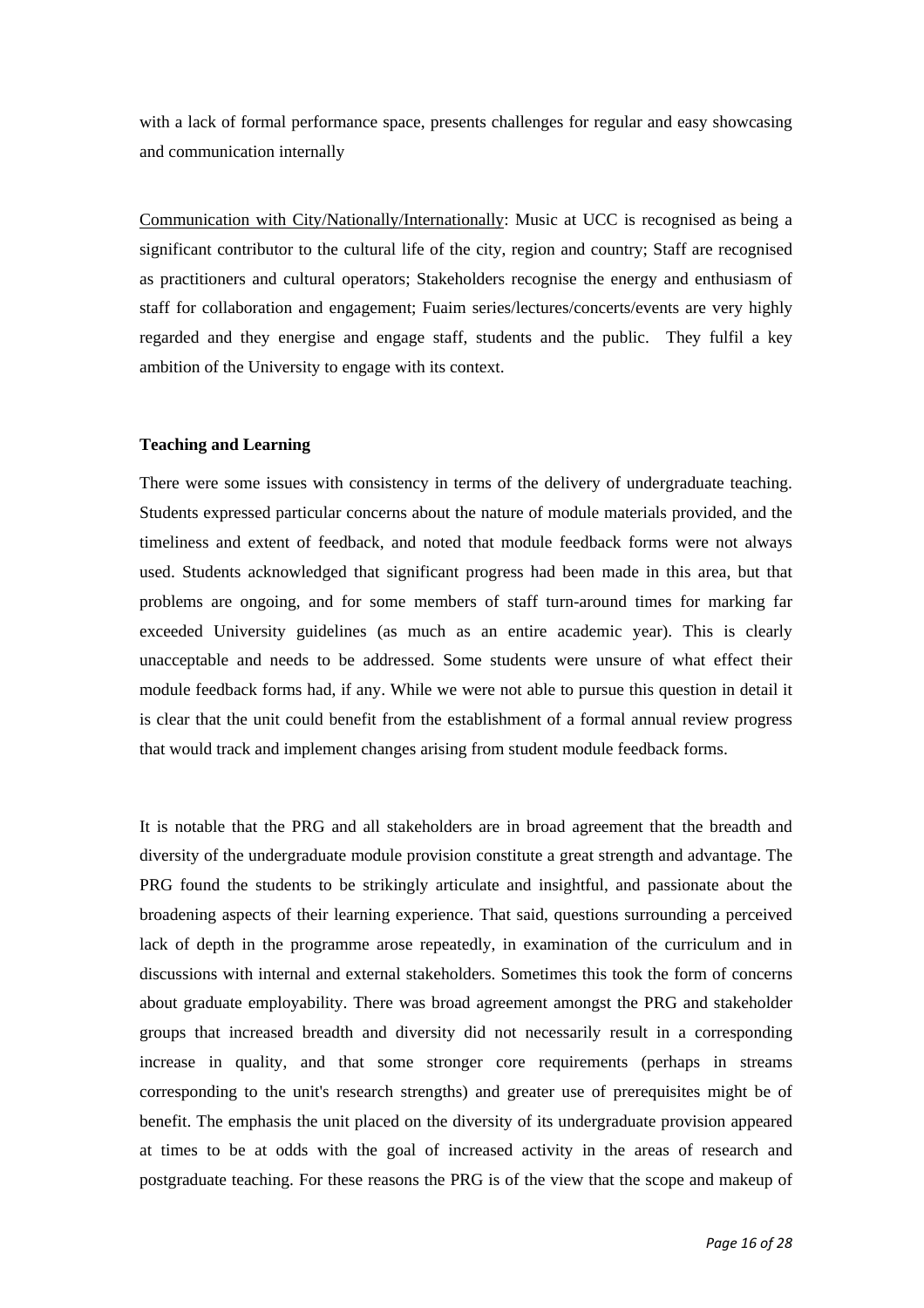with a lack of formal performance space, presents challenges for regular and easy showcasing and communication internally

Communication with City/Nationally/Internationally: Music at UCC is recognised as being a significant contributor to the cultural life of the city, region and country; Staff are recognised as practitioners and cultural operators; Stakeholders recognise the energy and enthusiasm of staff for collaboration and engagement; Fuaim series/lectures/concerts/events are very highly regarded and they energise and engage staff, students and the public. They fulfil a key ambition of the University to engage with its context.

#### **Teaching and Learning**

There were some issues with consistency in terms of the delivery of undergraduate teaching. Students expressed particular concerns about the nature of module materials provided, and the timeliness and extent of feedback, and noted that module feedback forms were not always used. Students acknowledged that significant progress had been made in this area, but that problems are ongoing, and for some members of staff turn-around times for marking far exceeded University guidelines (as much as an entire academic year). This is clearly unacceptable and needs to be addressed. Some students were unsure of what effect their module feedback forms had, if any. While we were not able to pursue this question in detail it is clear that the unit could benefit from the establishment of a formal annual review progress that would track and implement changes arising from student module feedback forms.

It is notable that the PRG and all stakeholders are in broad agreement that the breadth and diversity of the undergraduate module provision constitute a great strength and advantage. The PRG found the students to be strikingly articulate and insightful, and passionate about the broadening aspects of their learning experience. That said, questions surrounding a perceived lack of depth in the programme arose repeatedly, in examination of the curriculum and in discussions with internal and external stakeholders. Sometimes this took the form of concerns about graduate employability. There was broad agreement amongst the PRG and stakeholder groups that increased breadth and diversity did not necessarily result in a corresponding increase in quality, and that some stronger core requirements (perhaps in streams corresponding to the unit's research strengths) and greater use of prerequisites might be of benefit. The emphasis the unit placed on the diversity of its undergraduate provision appeared at times to be at odds with the goal of increased activity in the areas of research and postgraduate teaching. For these reasons the PRG is of the view that the scope and makeup of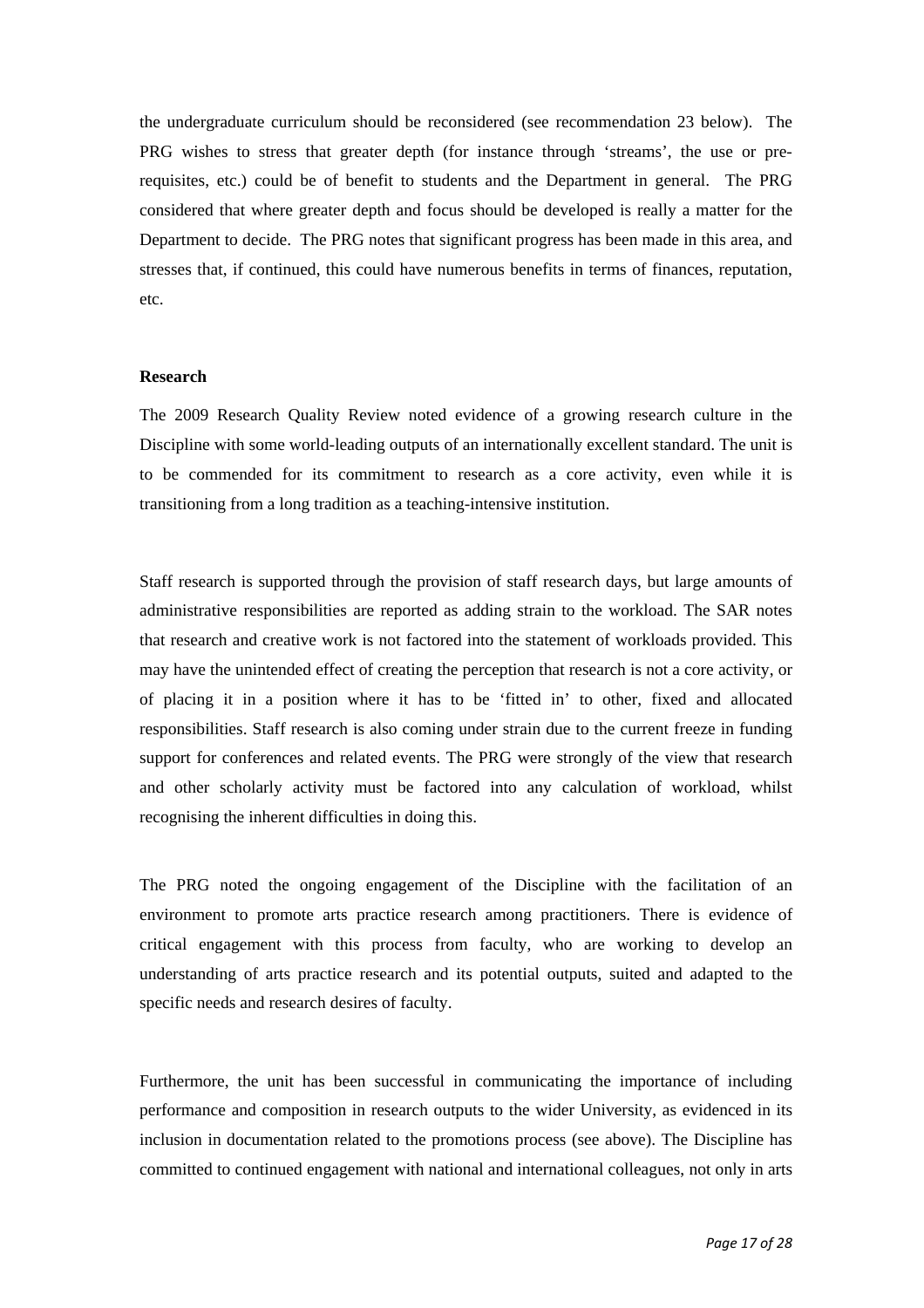the undergraduate curriculum should be reconsidered (see recommendation 23 below). The PRG wishes to stress that greater depth (for instance through 'streams', the use or prerequisites, etc.) could be of benefit to students and the Department in general. The PRG considered that where greater depth and focus should be developed is really a matter for the Department to decide. The PRG notes that significant progress has been made in this area, and stresses that, if continued, this could have numerous benefits in terms of finances, reputation, etc.

#### **Research**

The 2009 Research Quality Review noted evidence of a growing research culture in the Discipline with some world-leading outputs of an internationally excellent standard. The unit is to be commended for its commitment to research as a core activity, even while it is transitioning from a long tradition as a teaching-intensive institution.

Staff research is supported through the provision of staff research days, but large amounts of administrative responsibilities are reported as adding strain to the workload. The SAR notes that research and creative work is not factored into the statement of workloads provided. This may have the unintended effect of creating the perception that research is not a core activity, or of placing it in a position where it has to be 'fitted in' to other, fixed and allocated responsibilities. Staff research is also coming under strain due to the current freeze in funding support for conferences and related events. The PRG were strongly of the view that research and other scholarly activity must be factored into any calculation of workload, whilst recognising the inherent difficulties in doing this.

The PRG noted the ongoing engagement of the Discipline with the facilitation of an environment to promote arts practice research among practitioners. There is evidence of critical engagement with this process from faculty, who are working to develop an understanding of arts practice research and its potential outputs, suited and adapted to the specific needs and research desires of faculty.

Furthermore, the unit has been successful in communicating the importance of including performance and composition in research outputs to the wider University, as evidenced in its inclusion in documentation related to the promotions process (see above). The Discipline has committed to continued engagement with national and international colleagues, not only in arts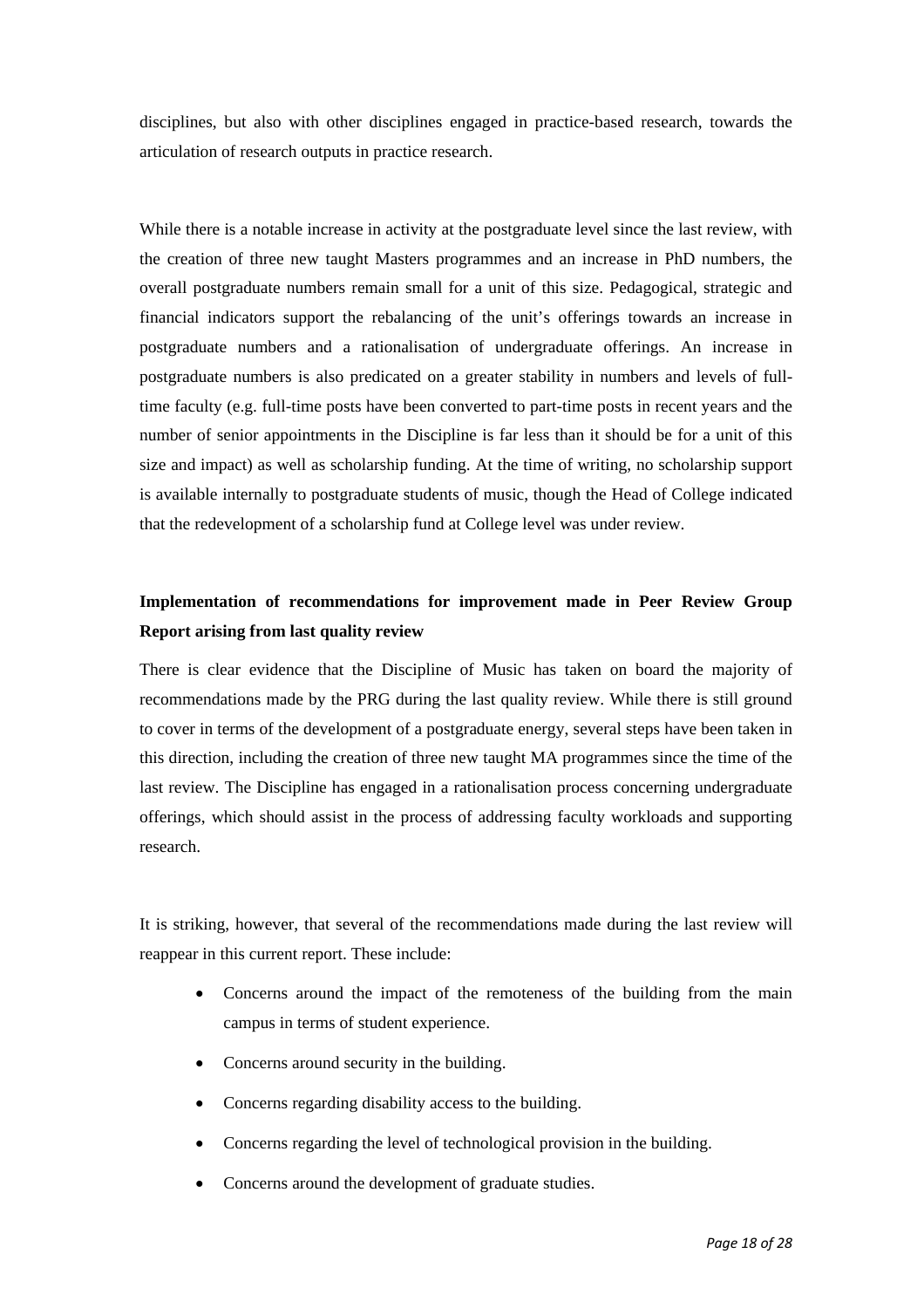disciplines, but also with other disciplines engaged in practice-based research, towards the articulation of research outputs in practice research.

While there is a notable increase in activity at the postgraduate level since the last review, with the creation of three new taught Masters programmes and an increase in PhD numbers, the overall postgraduate numbers remain small for a unit of this size. Pedagogical, strategic and financial indicators support the rebalancing of the unit's offerings towards an increase in postgraduate numbers and a rationalisation of undergraduate offerings. An increase in postgraduate numbers is also predicated on a greater stability in numbers and levels of fulltime faculty (e.g. full-time posts have been converted to part-time posts in recent years and the number of senior appointments in the Discipline is far less than it should be for a unit of this size and impact) as well as scholarship funding. At the time of writing, no scholarship support is available internally to postgraduate students of music, though the Head of College indicated that the redevelopment of a scholarship fund at College level was under review.

## **Implementation of recommendations for improvement made in Peer Review Group Report arising from last quality review**

There is clear evidence that the Discipline of Music has taken on board the majority of recommendations made by the PRG during the last quality review. While there is still ground to cover in terms of the development of a postgraduate energy, several steps have been taken in this direction, including the creation of three new taught MA programmes since the time of the last review. The Discipline has engaged in a rationalisation process concerning undergraduate offerings, which should assist in the process of addressing faculty workloads and supporting research.

It is striking, however, that several of the recommendations made during the last review will reappear in this current report. These include:

- Concerns around the impact of the remoteness of the building from the main campus in terms of student experience.
- Concerns around security in the building.
- Concerns regarding disability access to the building.
- Concerns regarding the level of technological provision in the building.
- Concerns around the development of graduate studies.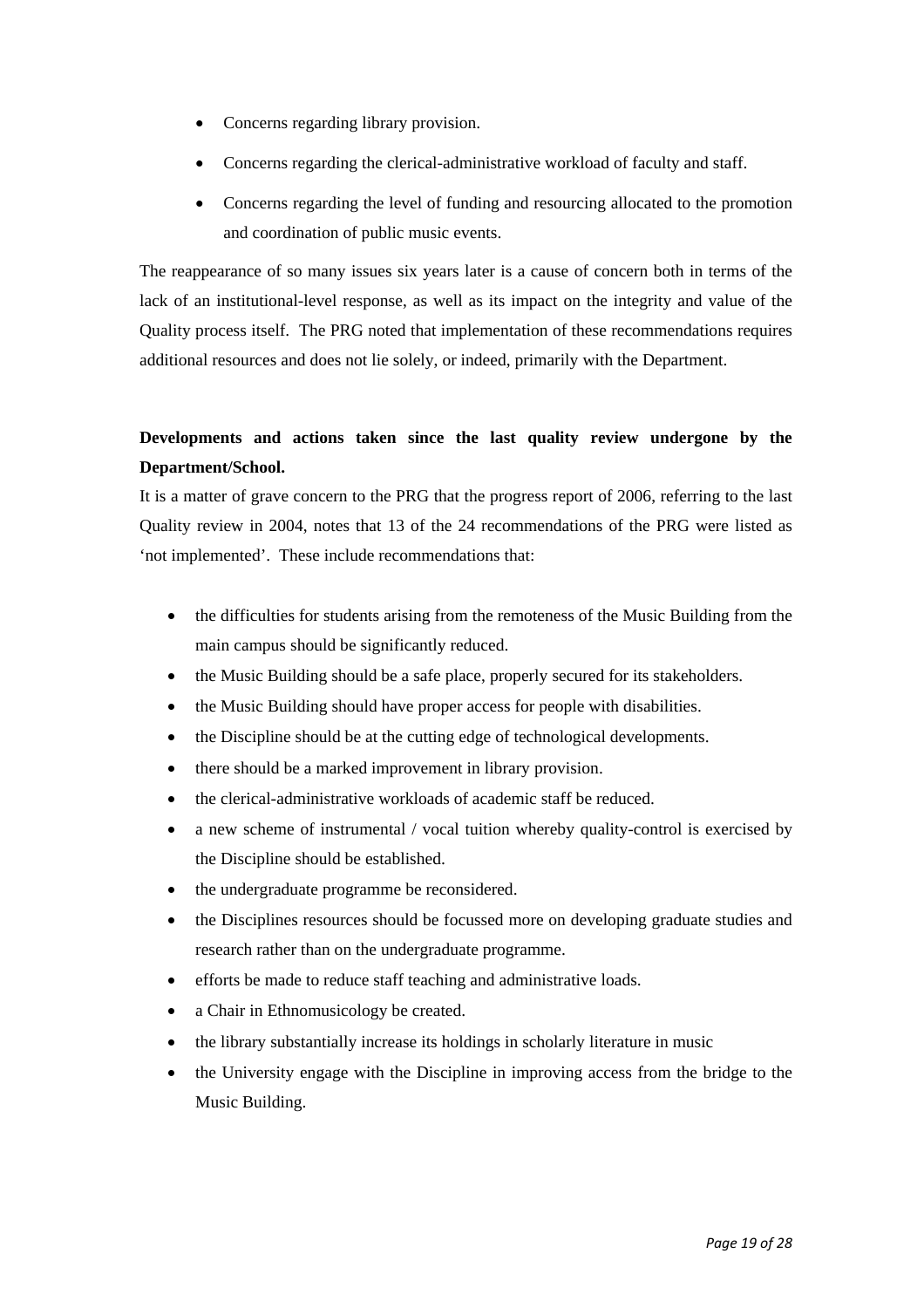- Concerns regarding library provision.
- Concerns regarding the clerical-administrative workload of faculty and staff.
- Concerns regarding the level of funding and resourcing allocated to the promotion and coordination of public music events.

The reappearance of so many issues six years later is a cause of concern both in terms of the lack of an institutional-level response, as well as its impact on the integrity and value of the Quality process itself. The PRG noted that implementation of these recommendations requires additional resources and does not lie solely, or indeed, primarily with the Department.

## **Developments and actions taken since the last quality review undergone by the Department/School.**

It is a matter of grave concern to the PRG that the progress report of 2006, referring to the last Quality review in 2004, notes that 13 of the 24 recommendations of the PRG were listed as 'not implemented'. These include recommendations that:

- the difficulties for students arising from the remoteness of the Music Building from the main campus should be significantly reduced.
- the Music Building should be a safe place, properly secured for its stakeholders.
- the Music Building should have proper access for people with disabilities.
- the Discipline should be at the cutting edge of technological developments.
- there should be a marked improvement in library provision.
- the clerical-administrative workloads of academic staff be reduced.
- a new scheme of instrumental / vocal tuition whereby quality-control is exercised by the Discipline should be established.
- the undergraduate programme be reconsidered.
- the Disciplines resources should be focussed more on developing graduate studies and research rather than on the undergraduate programme.
- efforts be made to reduce staff teaching and administrative loads.
- a Chair in Ethnomusicology be created.
- the library substantially increase its holdings in scholarly literature in music
- the University engage with the Discipline in improving access from the bridge to the Music Building.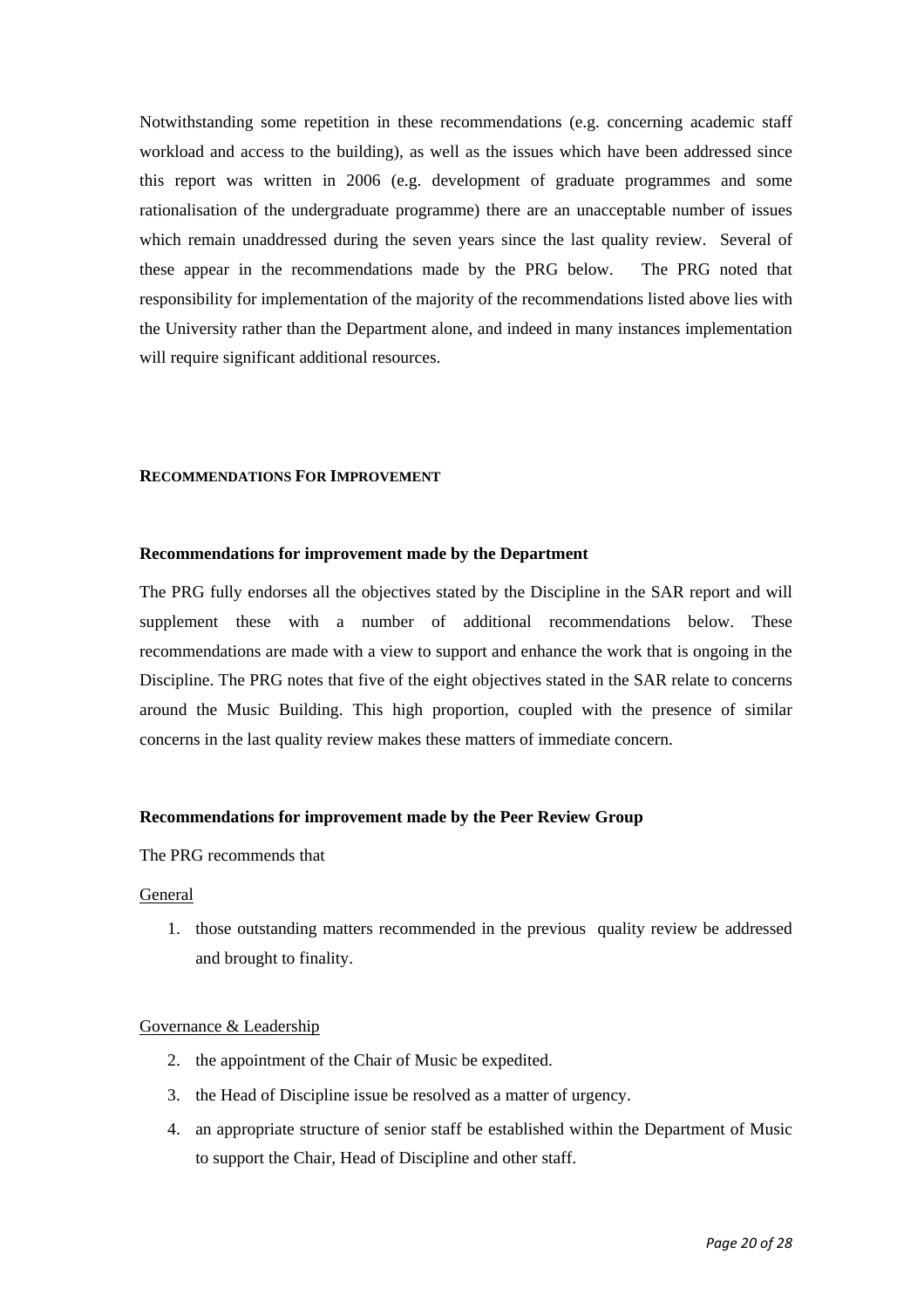Notwithstanding some repetition in these recommendations (e.g. concerning academic staff workload and access to the building), as well as the issues which have been addressed since this report was written in 2006 (e.g. development of graduate programmes and some rationalisation of the undergraduate programme) there are an unacceptable number of issues which remain unaddressed during the seven years since the last quality review. Several of these appear in the recommendations made by the PRG below. The PRG noted that responsibility for implementation of the majority of the recommendations listed above lies with the University rather than the Department alone, and indeed in many instances implementation will require significant additional resources.

#### **RECOMMENDATIONS FOR IMPROVEMENT**

#### **Recommendations for improvement made by the Department**

The PRG fully endorses all the objectives stated by the Discipline in the SAR report and will supplement these with a number of additional recommendations below. These recommendations are made with a view to support and enhance the work that is ongoing in the Discipline. The PRG notes that five of the eight objectives stated in the SAR relate to concerns around the Music Building. This high proportion, coupled with the presence of similar concerns in the last quality review makes these matters of immediate concern.

#### **Recommendations for improvement made by the Peer Review Group**

The PRG recommends that

#### General

1. those outstanding matters recommended in the previous quality review be addressed and brought to finality.

#### Governance & Leadership

- 2. the appointment of the Chair of Music be expedited.
- 3. the Head of Discipline issue be resolved as a matter of urgency.
- 4. an appropriate structure of senior staff be established within the Department of Music to support the Chair, Head of Discipline and other staff.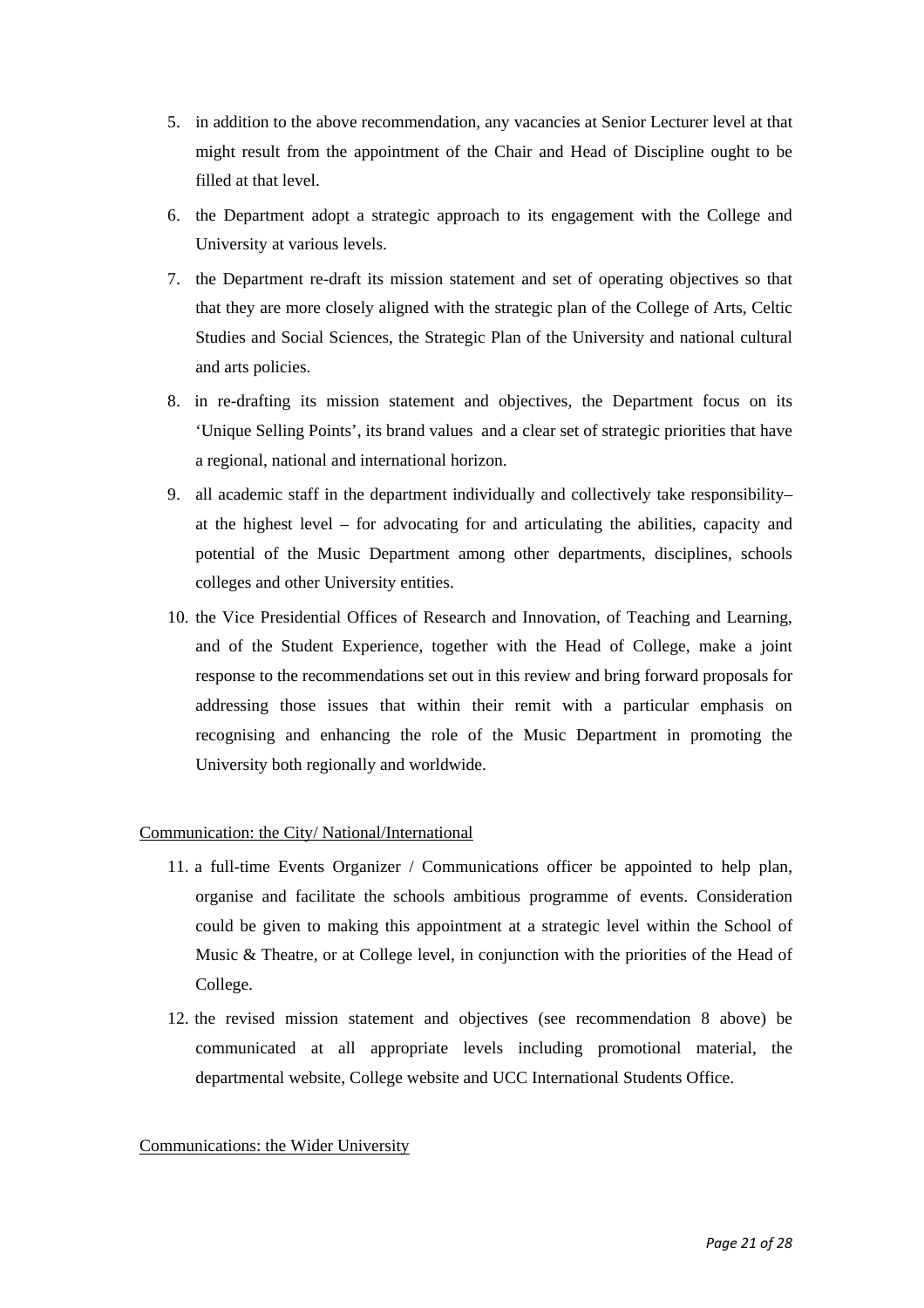- 5. in addition to the above recommendation, any vacancies at Senior Lecturer level at that might result from the appointment of the Chair and Head of Discipline ought to be filled at that level.
- 6. the Department adopt a strategic approach to its engagement with the College and University at various levels.
- 7. the Department re-draft its mission statement and set of operating objectives so that that they are more closely aligned with the strategic plan of the College of Arts, Celtic Studies and Social Sciences, the Strategic Plan of the University and national cultural and arts policies.
- 8. in re-drafting its mission statement and objectives, the Department focus on its 'Unique Selling Points', its brand values and a clear set of strategic priorities that have a regional, national and international horizon.
- 9. all academic staff in the department individually and collectively take responsibility– at the highest level – for advocating for and articulating the abilities, capacity and potential of the Music Department among other departments, disciplines, schools colleges and other University entities.
- 10. the Vice Presidential Offices of Research and Innovation, of Teaching and Learning, and of the Student Experience, together with the Head of College, make a joint response to the recommendations set out in this review and bring forward proposals for addressing those issues that within their remit with a particular emphasis on recognising and enhancing the role of the Music Department in promoting the University both regionally and worldwide.

#### Communication: the City/ National/International

- 11. a full-time Events Organizer / Communications officer be appointed to help plan, organise and facilitate the schools ambitious programme of events. Consideration could be given to making this appointment at a strategic level within the School of Music & Theatre, or at College level, in conjunction with the priorities of the Head of College.
- 12. the revised mission statement and objectives (see recommendation 8 above) be communicated at all appropriate levels including promotional material, the departmental website, College website and UCC International Students Office.

#### Communications: the Wider University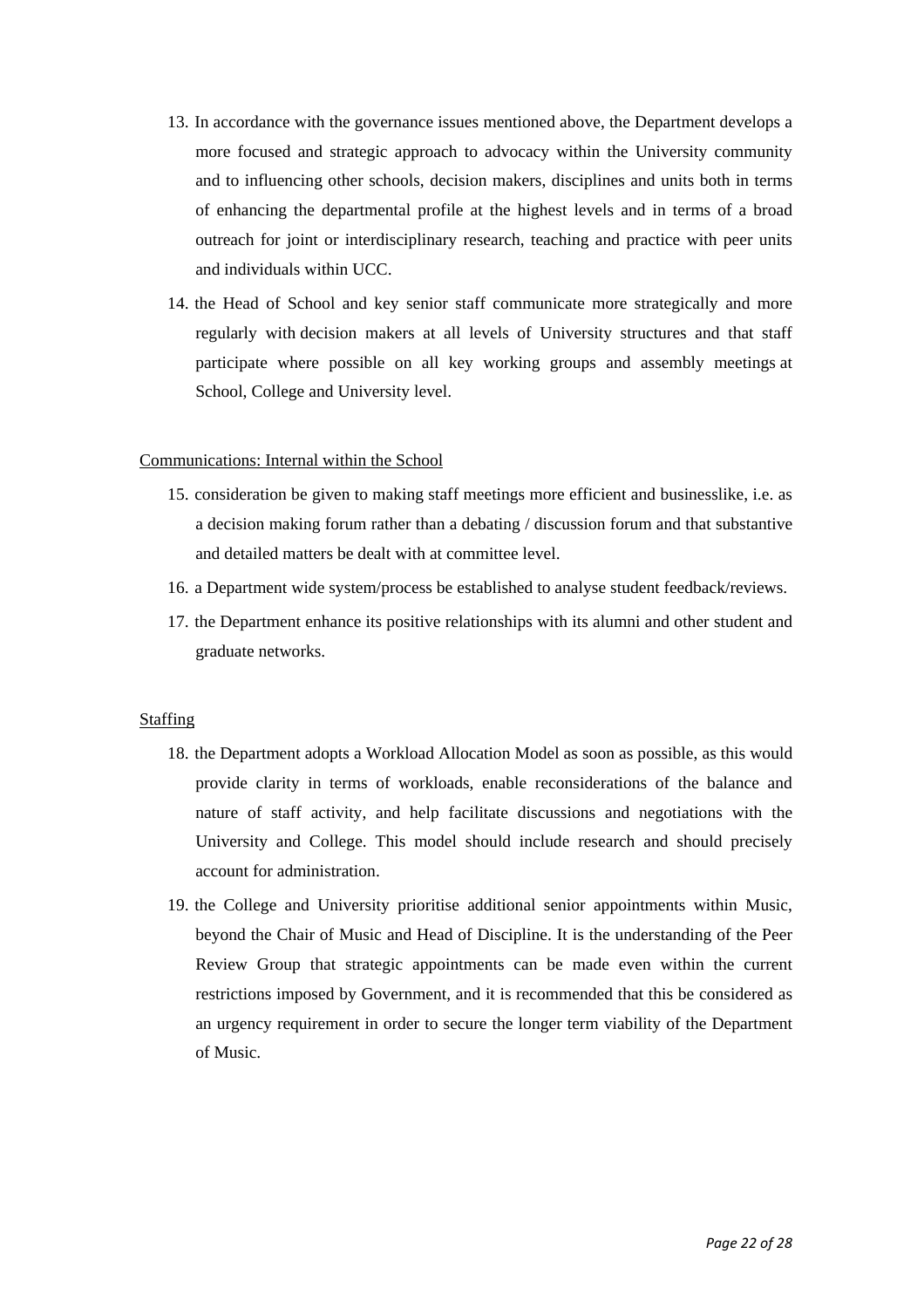- 13. In accordance with the governance issues mentioned above, the Department develops a more focused and strategic approach to advocacy within the University community and to influencing other schools, decision makers, disciplines and units both in terms of enhancing the departmental profile at the highest levels and in terms of a broad outreach for joint or interdisciplinary research, teaching and practice with peer units and individuals within UCC.
- 14. the Head of School and key senior staff communicate more strategically and more regularly with decision makers at all levels of University structures and that staff participate where possible on all key working groups and assembly meetings at School, College and University level.

#### Communications: Internal within the School

- 15. consideration be given to making staff meetings more efficient and businesslike, i.e. as a decision making forum rather than a debating / discussion forum and that substantive and detailed matters be dealt with at committee level.
- 16. a Department wide system/process be established to analyse student feedback/reviews.
- 17. the Department enhance its positive relationships with its alumni and other student and graduate networks.

#### Staffing

- 18. the Department adopts a Workload Allocation Model as soon as possible, as this would provide clarity in terms of workloads, enable reconsiderations of the balance and nature of staff activity, and help facilitate discussions and negotiations with the University and College. This model should include research and should precisely account for administration.
- 19. the College and University prioritise additional senior appointments within Music, beyond the Chair of Music and Head of Discipline. It is the understanding of the Peer Review Group that strategic appointments can be made even within the current restrictions imposed by Government, and it is recommended that this be considered as an urgency requirement in order to secure the longer term viability of the Department of Music.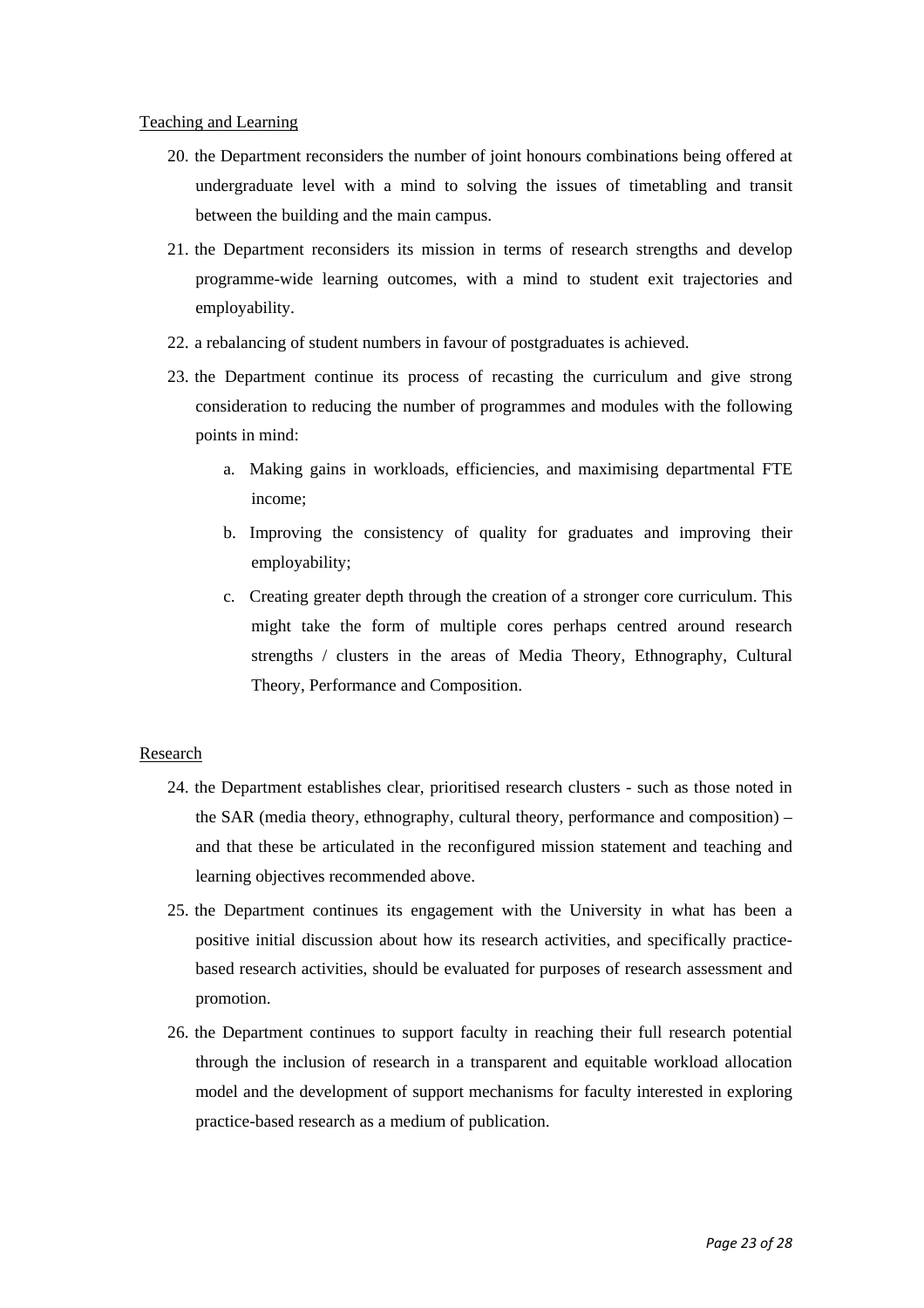Teaching and Learning

- 20. the Department reconsiders the number of joint honours combinations being offered at undergraduate level with a mind to solving the issues of timetabling and transit between the building and the main campus.
- 21. the Department reconsiders its mission in terms of research strengths and develop programme-wide learning outcomes, with a mind to student exit trajectories and employability.
- 22. a rebalancing of student numbers in favour of postgraduates is achieved.
- 23. the Department continue its process of recasting the curriculum and give strong consideration to reducing the number of programmes and modules with the following points in mind:
	- a. Making gains in workloads, efficiencies, and maximising departmental FTE income;
	- b. Improving the consistency of quality for graduates and improving their employability;
	- c. Creating greater depth through the creation of a stronger core curriculum. This might take the form of multiple cores perhaps centred around research strengths / clusters in the areas of Media Theory, Ethnography, Cultural Theory, Performance and Composition.

#### Research

- 24. the Department establishes clear, prioritised research clusters such as those noted in the SAR (media theory, ethnography, cultural theory, performance and composition) – and that these be articulated in the reconfigured mission statement and teaching and learning objectives recommended above.
- 25. the Department continues its engagement with the University in what has been a positive initial discussion about how its research activities, and specifically practicebased research activities, should be evaluated for purposes of research assessment and promotion.
- 26. the Department continues to support faculty in reaching their full research potential through the inclusion of research in a transparent and equitable workload allocation model and the development of support mechanisms for faculty interested in exploring practice-based research as a medium of publication.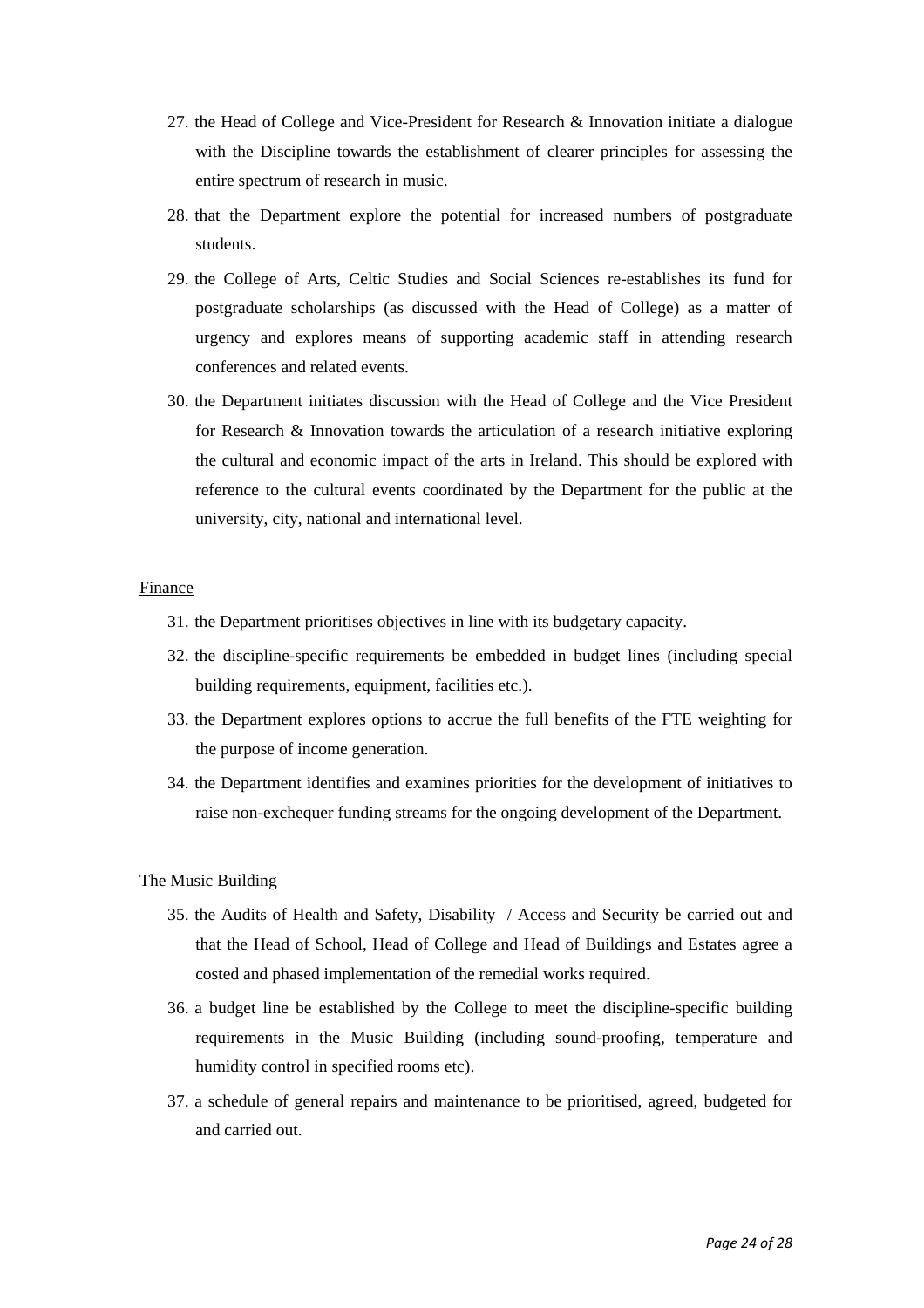- 27. the Head of College and Vice-President for Research & Innovation initiate a dialogue with the Discipline towards the establishment of clearer principles for assessing the entire spectrum of research in music.
- 28. that the Department explore the potential for increased numbers of postgraduate students.
- 29. the College of Arts, Celtic Studies and Social Sciences re-establishes its fund for postgraduate scholarships (as discussed with the Head of College) as a matter of urgency and explores means of supporting academic staff in attending research conferences and related events.
- 30. the Department initiates discussion with the Head of College and the Vice President for Research & Innovation towards the articulation of a research initiative exploring the cultural and economic impact of the arts in Ireland. This should be explored with reference to the cultural events coordinated by the Department for the public at the university, city, national and international level.

#### Finance

- 31. the Department prioritises objectives in line with its budgetary capacity.
- 32. the discipline-specific requirements be embedded in budget lines (including special building requirements, equipment, facilities etc.).
- 33. the Department explores options to accrue the full benefits of the FTE weighting for the purpose of income generation.
- 34. the Department identifies and examines priorities for the development of initiatives to raise non-exchequer funding streams for the ongoing development of the Department.

#### The Music Building

- 35. the Audits of Health and Safety, Disability / Access and Security be carried out and that the Head of School, Head of College and Head of Buildings and Estates agree a costed and phased implementation of the remedial works required.
- 36. a budget line be established by the College to meet the discipline-specific building requirements in the Music Building (including sound-proofing, temperature and humidity control in specified rooms etc).
- 37. a schedule of general repairs and maintenance to be prioritised, agreed, budgeted for and carried out.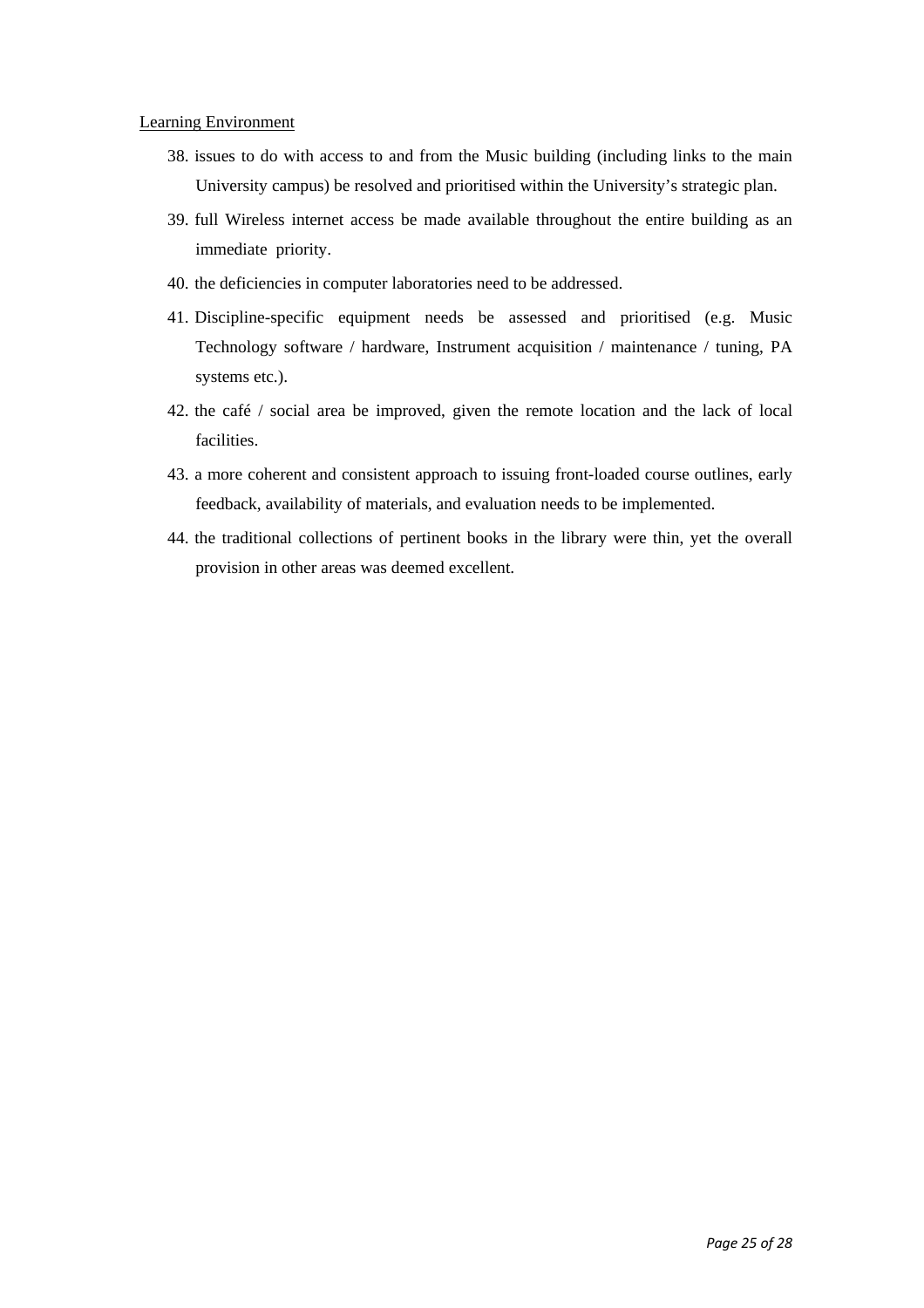#### Learning Environment

- 38. issues to do with access to and from the Music building (including links to the main University campus) be resolved and prioritised within the University's strategic plan.
- 39. full Wireless internet access be made available throughout the entire building as an immediate priority.
- 40. the deficiencies in computer laboratories need to be addressed.
- 41. Discipline-specific equipment needs be assessed and prioritised (e.g. Music Technology software / hardware, Instrument acquisition / maintenance / tuning, PA systems etc.).
- 42. the café / social area be improved, given the remote location and the lack of local facilities.
- 43. a more coherent and consistent approach to issuing front-loaded course outlines, early feedback, availability of materials, and evaluation needs to be implemented.
- 44. the traditional collections of pertinent books in the library were thin, yet the overall provision in other areas was deemed excellent.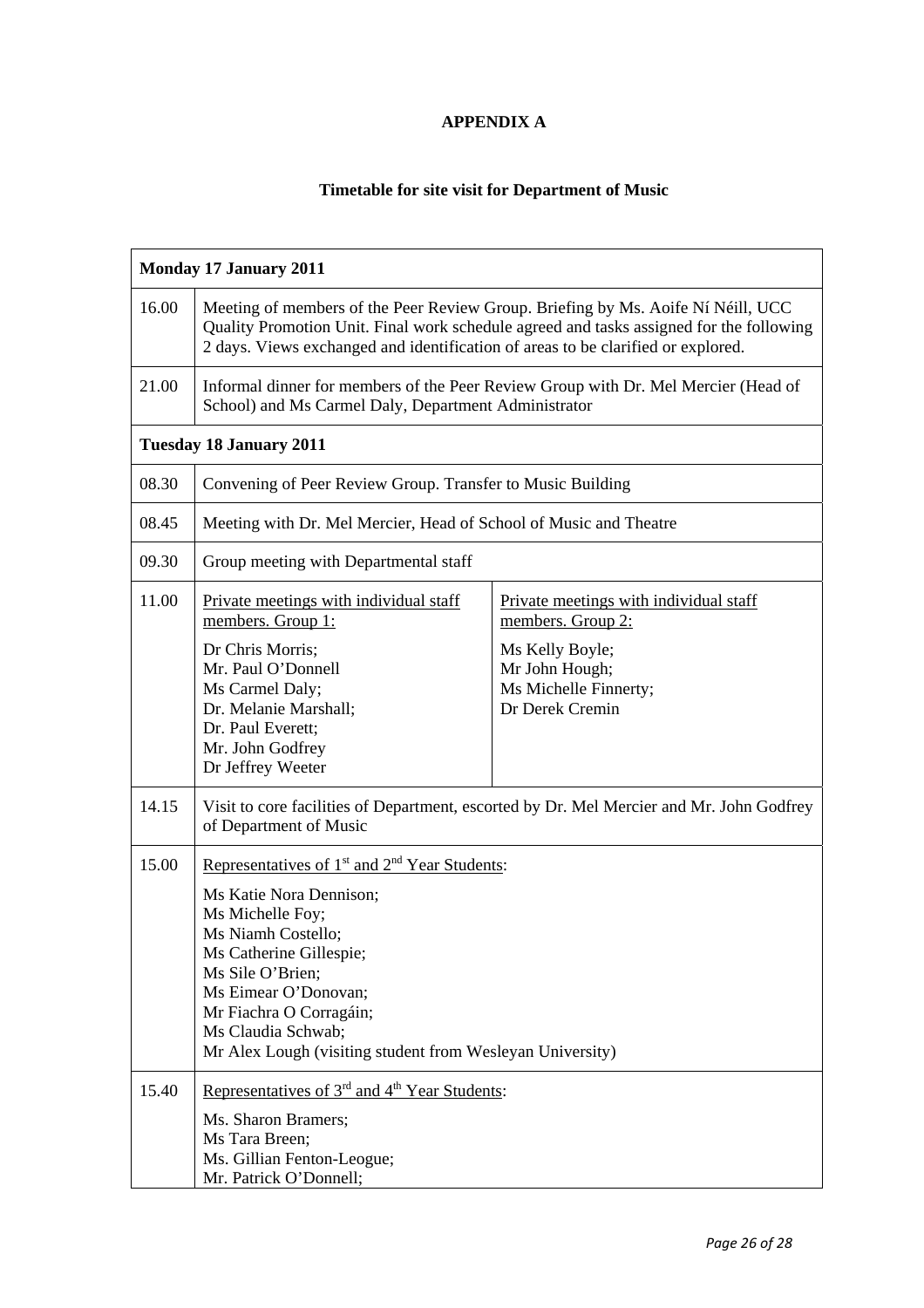### **APPENDIX A**

## **Timetable for site visit for Department of Music**

| <b>Monday 17 January 2011</b>  |                                                                                                                                                                                                                                                                                                                                 |                                                                                                                                              |  |  |
|--------------------------------|---------------------------------------------------------------------------------------------------------------------------------------------------------------------------------------------------------------------------------------------------------------------------------------------------------------------------------|----------------------------------------------------------------------------------------------------------------------------------------------|--|--|
| 16.00                          | Meeting of members of the Peer Review Group. Briefing by Ms. Aoife Ní Néill, UCC<br>Quality Promotion Unit. Final work schedule agreed and tasks assigned for the following<br>2 days. Views exchanged and identification of areas to be clarified or explored.                                                                 |                                                                                                                                              |  |  |
| 21.00                          | Informal dinner for members of the Peer Review Group with Dr. Mel Mercier (Head of<br>School) and Ms Carmel Daly, Department Administrator                                                                                                                                                                                      |                                                                                                                                              |  |  |
| <b>Tuesday 18 January 2011</b> |                                                                                                                                                                                                                                                                                                                                 |                                                                                                                                              |  |  |
| 08.30                          | Convening of Peer Review Group. Transfer to Music Building                                                                                                                                                                                                                                                                      |                                                                                                                                              |  |  |
| 08.45                          | Meeting with Dr. Mel Mercier, Head of School of Music and Theatre                                                                                                                                                                                                                                                               |                                                                                                                                              |  |  |
| 09.30                          | Group meeting with Departmental staff                                                                                                                                                                                                                                                                                           |                                                                                                                                              |  |  |
| 11.00                          | Private meetings with individual staff<br>members. Group 1:<br>Dr Chris Morris;<br>Mr. Paul O'Donnell<br>Ms Carmel Daly;<br>Dr. Melanie Marshall;<br>Dr. Paul Everett;<br>Mr. John Godfrey<br>Dr Jeffrey Weeter                                                                                                                 | Private meetings with individual staff<br>members. Group 2:<br>Ms Kelly Boyle;<br>Mr John Hough;<br>Ms Michelle Finnerty;<br>Dr Derek Cremin |  |  |
| 14.15                          | Visit to core facilities of Department, escorted by Dr. Mel Mercier and Mr. John Godfrey<br>of Department of Music                                                                                                                                                                                                              |                                                                                                                                              |  |  |
| 15.00                          | Representatives of 1 <sup>st</sup> and 2 <sup>nd</sup> Year Students:<br>Ms Katie Nora Dennison;<br>Ms Michelle Foy;<br>Ms Niamh Costello;<br>Ms Catherine Gillespie;<br>Ms Sile O'Brien;<br>Ms Eimear O'Donovan;<br>Mr Fiachra O Corragáin;<br>Ms Claudia Schwab;<br>Mr Alex Lough (visiting student from Wesleyan University) |                                                                                                                                              |  |  |
| 15.40                          | Representatives of 3 <sup>rd</sup> and 4 <sup>th</sup> Year Students:<br>Ms. Sharon Bramers;<br>Ms Tara Breen;<br>Ms. Gillian Fenton-Leogue;<br>Mr. Patrick O'Donnell;                                                                                                                                                          |                                                                                                                                              |  |  |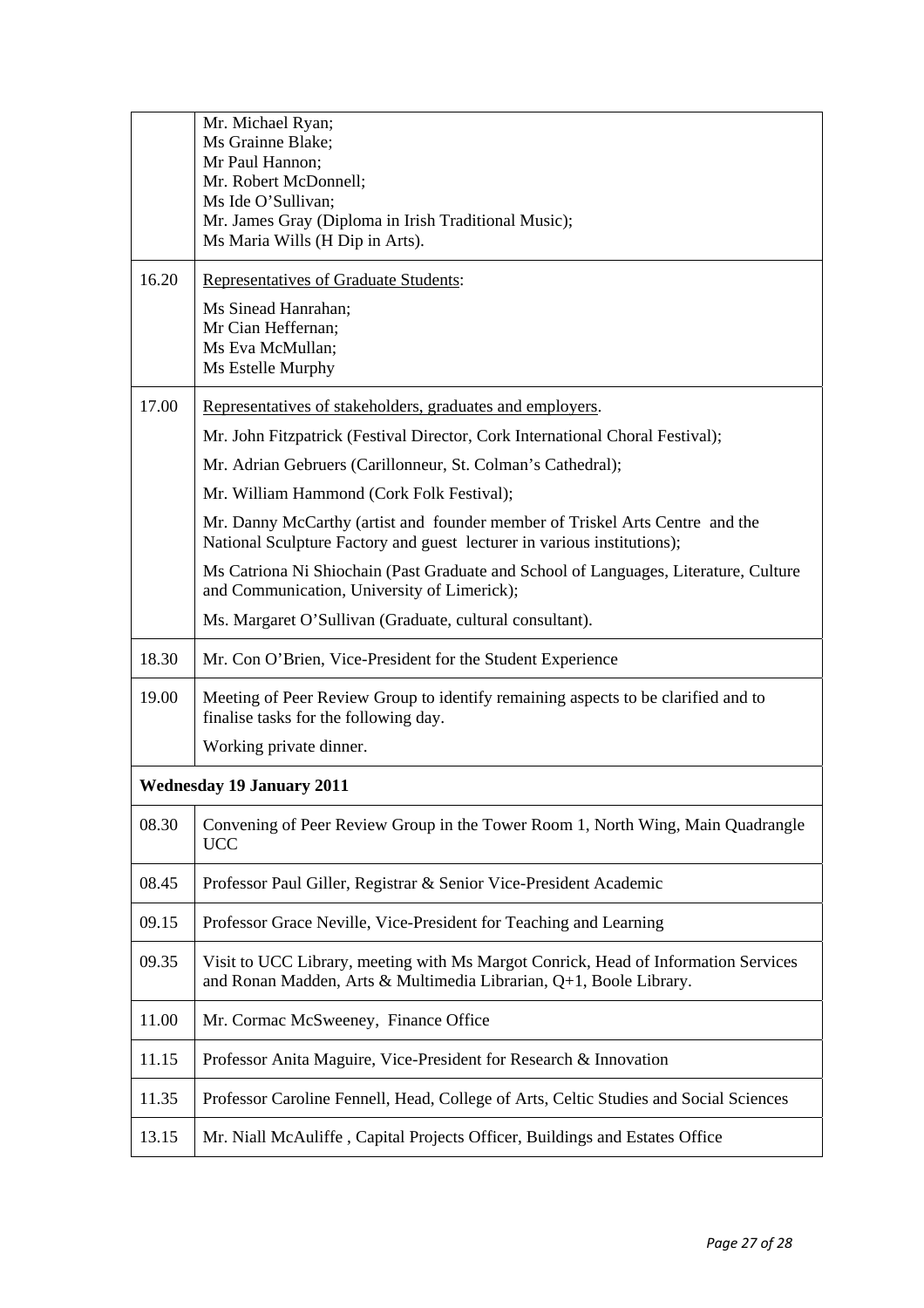|                                  | Mr. Michael Ryan;                                                                                                                                        |  |  |  |
|----------------------------------|----------------------------------------------------------------------------------------------------------------------------------------------------------|--|--|--|
|                                  | Ms Grainne Blake;                                                                                                                                        |  |  |  |
|                                  | Mr Paul Hannon;<br>Mr. Robert McDonnell;                                                                                                                 |  |  |  |
|                                  | Ms Ide O'Sullivan;                                                                                                                                       |  |  |  |
|                                  | Mr. James Gray (Diploma in Irish Traditional Music);                                                                                                     |  |  |  |
|                                  | Ms Maria Wills (H Dip in Arts).                                                                                                                          |  |  |  |
| 16.20                            | Representatives of Graduate Students:                                                                                                                    |  |  |  |
|                                  | Ms Sinead Hanrahan;                                                                                                                                      |  |  |  |
|                                  | Mr Cian Heffernan;<br>Ms Eva McMullan;                                                                                                                   |  |  |  |
|                                  | Ms Estelle Murphy                                                                                                                                        |  |  |  |
| 17.00                            |                                                                                                                                                          |  |  |  |
|                                  | Representatives of stakeholders, graduates and employers.                                                                                                |  |  |  |
|                                  | Mr. John Fitzpatrick (Festival Director, Cork International Choral Festival);                                                                            |  |  |  |
|                                  | Mr. Adrian Gebruers (Carillonneur, St. Colman's Cathedral);                                                                                              |  |  |  |
|                                  | Mr. William Hammond (Cork Folk Festival);                                                                                                                |  |  |  |
|                                  | Mr. Danny McCarthy (artist and founder member of Triskel Arts Centre and the<br>National Sculpture Factory and guest lecturer in various institutions);  |  |  |  |
|                                  | Ms Catriona Ni Shiochain (Past Graduate and School of Languages, Literature, Culture<br>and Communication, University of Limerick);                      |  |  |  |
|                                  | Ms. Margaret O'Sullivan (Graduate, cultural consultant).                                                                                                 |  |  |  |
| 18.30                            | Mr. Con O'Brien, Vice-President for the Student Experience                                                                                               |  |  |  |
| 19.00                            | Meeting of Peer Review Group to identify remaining aspects to be clarified and to<br>finalise tasks for the following day.                               |  |  |  |
|                                  | Working private dinner.                                                                                                                                  |  |  |  |
| <b>Wednesday 19 January 2011</b> |                                                                                                                                                          |  |  |  |
| 08.30                            | Convening of Peer Review Group in the Tower Room 1, North Wing, Main Quadrangle<br><b>UCC</b>                                                            |  |  |  |
| 08.45                            | Professor Paul Giller, Registrar & Senior Vice-President Academic                                                                                        |  |  |  |
| 09.15                            | Professor Grace Neville, Vice-President for Teaching and Learning                                                                                        |  |  |  |
| 09.35                            | Visit to UCC Library, meeting with Ms Margot Conrick, Head of Information Services<br>and Ronan Madden, Arts & Multimedia Librarian, Q+1, Boole Library. |  |  |  |
| 11.00                            | Mr. Cormac McSweeney, Finance Office                                                                                                                     |  |  |  |
| 11.15                            | Professor Anita Maguire, Vice-President for Research & Innovation                                                                                        |  |  |  |
| 11.35                            | Professor Caroline Fennell, Head, College of Arts, Celtic Studies and Social Sciences                                                                    |  |  |  |
| 13.15                            | Mr. Niall McAuliffe, Capital Projects Officer, Buildings and Estates Office                                                                              |  |  |  |